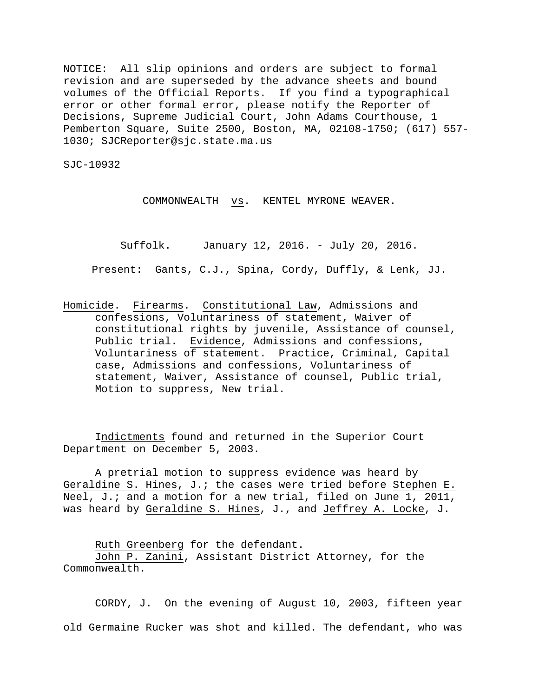NOTICE: All slip opinions and orders are subject to formal revision and are superseded by the advance sheets and bound volumes of the Official Reports. If you find a typographical error or other formal error, please notify the Reporter of Decisions, Supreme Judicial Court, John Adams Courthouse, 1 Pemberton Square, Suite 2500, Boston, MA, 02108-1750; (617) 557- 1030; SJCReporter@sjc.state.ma.us

SJC-10932

COMMONWEALTH vs. KENTEL MYRONE WEAVER.

Suffolk. January 12, 2016. - July 20, 2016.

Present: Gants, C.J., Spina, Cordy, Duffly, & Lenk, JJ.

Homicide. Firearms. Constitutional Law, Admissions and confessions, Voluntariness of statement, Waiver of constitutional rights by juvenile, Assistance of counsel, Public trial. Evidence, Admissions and confessions, Voluntariness of statement. Practice, Criminal, Capital case, Admissions and confessions, Voluntariness of statement, Waiver, Assistance of counsel, Public trial, Motion to suppress, New trial.

Indictments found and returned in the Superior Court Department on December 5, 2003.

A pretrial motion to suppress evidence was heard by Geraldine S. Hines, J.; the cases were tried before Stephen E. Neel, J.; and a motion for a new trial, filed on June 1, 2011, was heard by Geraldine S. Hines, J., and Jeffrey A. Locke, J.

Ruth Greenberg for the defendant.

John P. Zanini, Assistant District Attorney, for the Commonwealth.

CORDY, J. On the evening of August 10, 2003, fifteen year old Germaine Rucker was shot and killed. The defendant, who was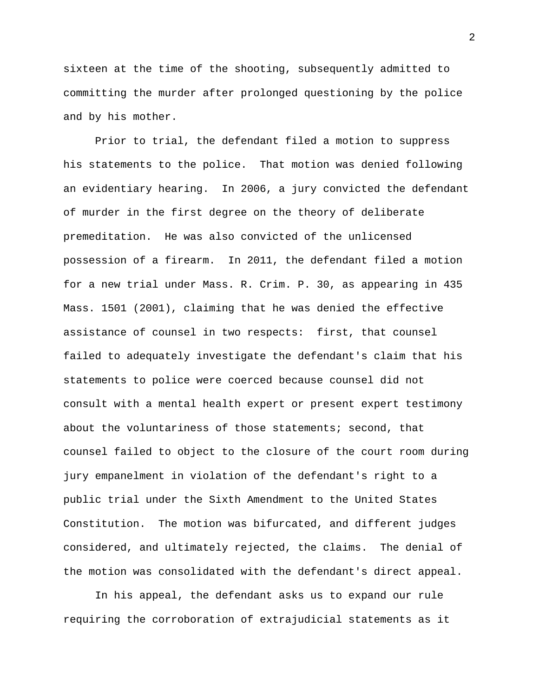sixteen at the time of the shooting, subsequently admitted to committing the murder after prolonged questioning by the police and by his mother.

Prior to trial, the defendant filed a motion to suppress his statements to the police. That motion was denied following an evidentiary hearing. In 2006, a jury convicted the defendant of murder in the first degree on the theory of deliberate premeditation. He was also convicted of the unlicensed possession of a firearm. In 2011, the defendant filed a motion for a new trial under Mass. R. Crim. P. 30, as appearing in 435 Mass. 1501 (2001), claiming that he was denied the effective assistance of counsel in two respects: first, that counsel failed to adequately investigate the defendant's claim that his statements to police were coerced because counsel did not consult with a mental health expert or present expert testimony about the voluntariness of those statements; second, that counsel failed to object to the closure of the court room during jury empanelment in violation of the defendant's right to a public trial under the Sixth Amendment to the United States Constitution. The motion was bifurcated, and different judges considered, and ultimately rejected, the claims. The denial of the motion was consolidated with the defendant's direct appeal.

In his appeal, the defendant asks us to expand our rule requiring the corroboration of extrajudicial statements as it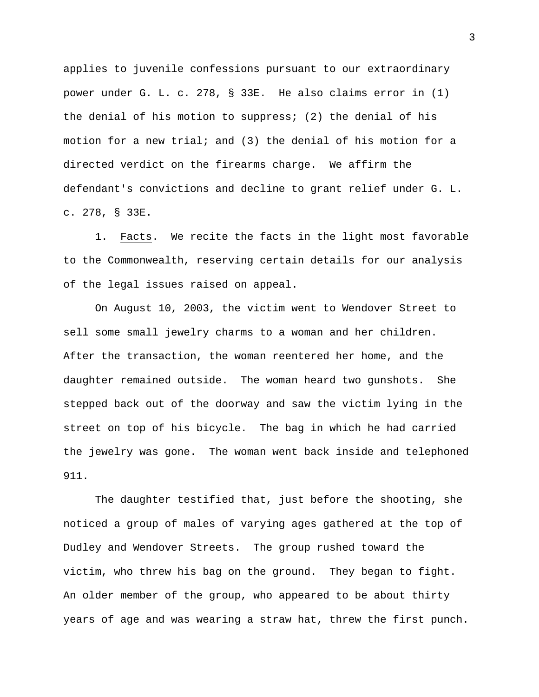applies to juvenile confessions pursuant to our extraordinary power under G. L. c. 278, § 33E. He also claims error in (1) the denial of his motion to suppress; (2) the denial of his motion for a new trial; and (3) the denial of his motion for a directed verdict on the firearms charge. We affirm the defendant's convictions and decline to grant relief under G. L. c. 278, § 33E.

1. Facts. We recite the facts in the light most favorable to the Commonwealth, reserving certain details for our analysis of the legal issues raised on appeal.

On August 10, 2003, the victim went to Wendover Street to sell some small jewelry charms to a woman and her children. After the transaction, the woman reentered her home, and the daughter remained outside. The woman heard two gunshots. She stepped back out of the doorway and saw the victim lying in the street on top of his bicycle. The bag in which he had carried the jewelry was gone. The woman went back inside and telephoned 911.

The daughter testified that, just before the shooting, she noticed a group of males of varying ages gathered at the top of Dudley and Wendover Streets. The group rushed toward the victim, who threw his bag on the ground. They began to fight. An older member of the group, who appeared to be about thirty years of age and was wearing a straw hat, threw the first punch.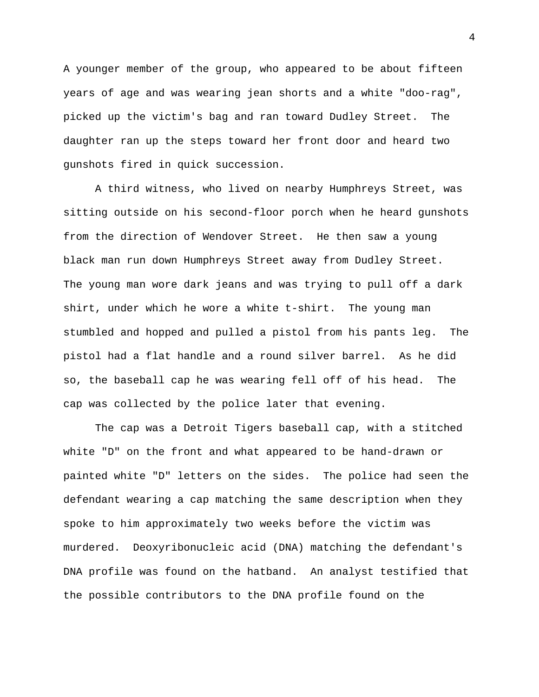A younger member of the group, who appeared to be about fifteen years of age and was wearing jean shorts and a white "doo-rag", picked up the victim's bag and ran toward Dudley Street. The daughter ran up the steps toward her front door and heard two gunshots fired in quick succession.

A third witness, who lived on nearby Humphreys Street, was sitting outside on his second-floor porch when he heard gunshots from the direction of Wendover Street. He then saw a young black man run down Humphreys Street away from Dudley Street. The young man wore dark jeans and was trying to pull off a dark shirt, under which he wore a white t-shirt. The young man stumbled and hopped and pulled a pistol from his pants leg. The pistol had a flat handle and a round silver barrel. As he did so, the baseball cap he was wearing fell off of his head. The cap was collected by the police later that evening.

 The cap was a Detroit Tigers baseball cap, with a stitched white "D" on the front and what appeared to be hand-drawn or painted white "D" letters on the sides. The police had seen the defendant wearing a cap matching the same description when they spoke to him approximately two weeks before the victim was murdered. Deoxyribonucleic acid (DNA) matching the defendant's DNA profile was found on the hatband. An analyst testified that the possible contributors to the DNA profile found on the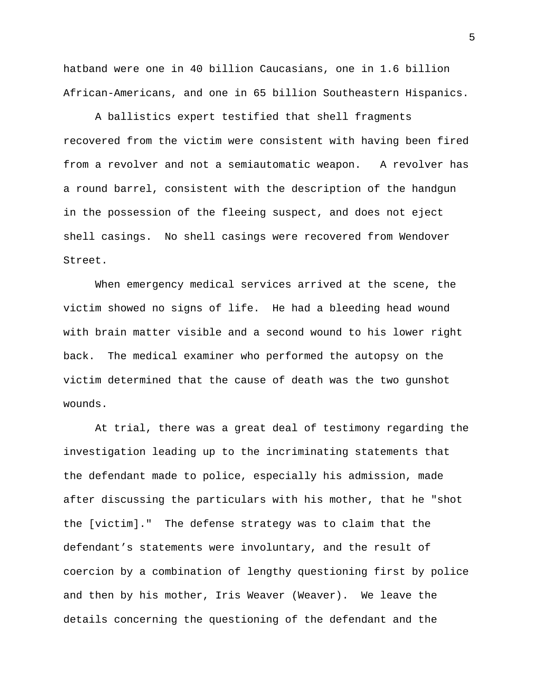hatband were one in 40 billion Caucasians, one in 1.6 billion African-Americans, and one in 65 billion Southeastern Hispanics.

A ballistics expert testified that shell fragments recovered from the victim were consistent with having been fired from a revolver and not a semiautomatic weapon. A revolver has a round barrel, consistent with the description of the handgun in the possession of the fleeing suspect, and does not eject shell casings. No shell casings were recovered from Wendover Street.

When emergency medical services arrived at the scene, the victim showed no signs of life.He had a bleeding head wound with brain matter visible and a second wound to his lower right back. The medical examiner who performed the autopsy on the victim determined that the cause of death was the two gunshot wounds.

At trial, there was a great deal of testimony regarding the investigation leading up to the incriminating statements that the defendant made to police, especially his admission, made after discussing the particulars with his mother, that he "shot the [victim]." The defense strategy was to claim that the defendant's statements were involuntary, and the result of coercion by a combination of lengthy questioning first by police and then by his mother, Iris Weaver (Weaver). We leave the details concerning the questioning of the defendant and the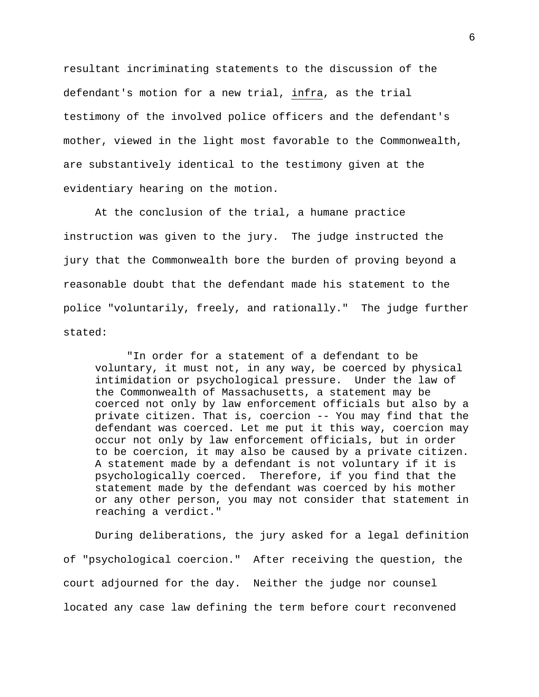resultant incriminating statements to the discussion of the defendant's motion for a new trial, infra, as the trial testimony of the involved police officers and the defendant's mother, viewed in the light most favorable to the Commonwealth, are substantively identical to the testimony given at the evidentiary hearing on the motion.

At the conclusion of the trial, a humane practice instruction was given to the jury. The judge instructed the jury that the Commonwealth bore the burden of proving beyond a reasonable doubt that the defendant made his statement to the police "voluntarily, freely, and rationally." The judge further stated:

"In order for a statement of a defendant to be voluntary, it must not, in any way, be coerced by physical intimidation or psychological pressure. Under the law of the Commonwealth of Massachusetts, a statement may be coerced not only by law enforcement officials but also by a private citizen. That is, coercion -- You may find that the defendant was coerced. Let me put it this way, coercion may occur not only by law enforcement officials, but in order to be coercion, it may also be caused by a private citizen. A statement made by a defendant is not voluntary if it is psychologically coerced. Therefore, if you find that the statement made by the defendant was coerced by his mother or any other person, you may not consider that statement in reaching a verdict."

During deliberations, the jury asked for a legal definition of "psychological coercion." After receiving the question, the court adjourned for the day. Neither the judge nor counsel located any case law defining the term before court reconvened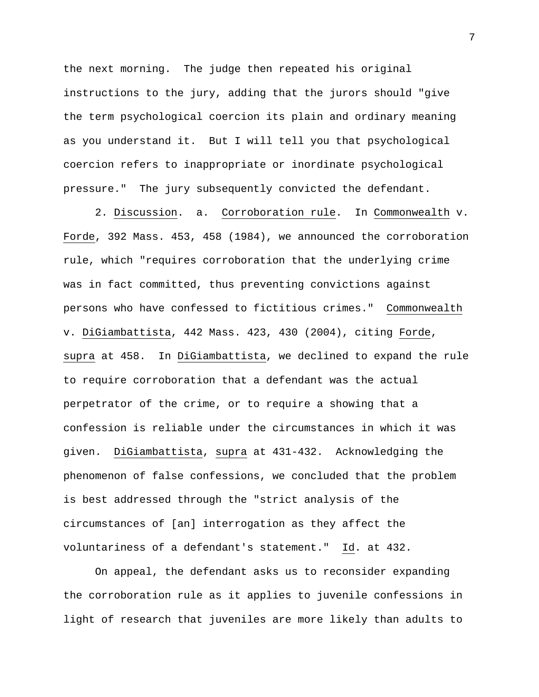the next morning. The judge then repeated his original instructions to the jury, adding that the jurors should "give the term psychological coercion its plain and ordinary meaning as you understand it. But I will tell you that psychological coercion refers to inappropriate or inordinate psychological pressure." The jury subsequently convicted the defendant.

2. Discussion. a. Corroboration rule. In Commonwealth v. Forde, 392 Mass. 453, 458 (1984), we announced the corroboration rule, which "requires corroboration that the underlying crime was in fact committed, thus preventing convictions against persons who have confessed to fictitious crimes." Commonwealth v. DiGiambattista, 442 Mass. 423, 430 (2004), citing Forde, supra at 458. In DiGiambattista, we declined to expand the rule to require corroboration that a defendant was the actual perpetrator of the crime, or to require a showing that a confession is reliable under the circumstances in which it was given. DiGiambattista, supra at 431-432. Acknowledging the phenomenon of false confessions, we concluded that the problem is best addressed through the "strict analysis of the circumstances of [an] interrogation as they affect the voluntariness of a defendant's statement." Id. at 432.

On appeal, the defendant asks us to reconsider expanding the corroboration rule as it applies to juvenile confessions in light of research that juveniles are more likely than adults to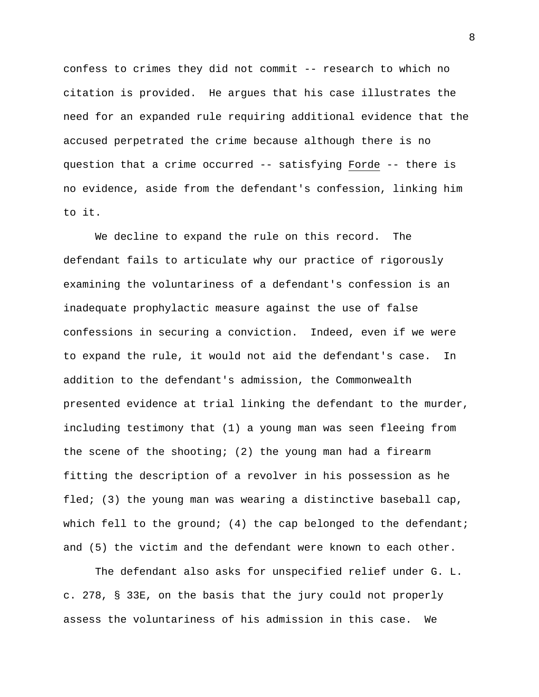confess to crimes they did not commit -- research to which no citation is provided. He argues that his case illustrates the need for an expanded rule requiring additional evidence that the accused perpetrated the crime because although there is no question that a crime occurred -- satisfying Forde -- there is no evidence, aside from the defendant's confession, linking him to it.

We decline to expand the rule on this record. The defendant fails to articulate why our practice of rigorously examining the voluntariness of a defendant's confession is an inadequate prophylactic measure against the use of false confessions in securing a conviction. Indeed, even if we were to expand the rule, it would not aid the defendant's case. In addition to the defendant's admission, the Commonwealth presented evidence at trial linking the defendant to the murder, including testimony that (1) a young man was seen fleeing from the scene of the shooting; (2) the young man had a firearm fitting the description of a revolver in his possession as he fled; (3) the young man was wearing a distinctive baseball cap, which fell to the ground; (4) the cap belonged to the defendant; and (5) the victim and the defendant were known to each other.

The defendant also asks for unspecified relief under G. L. c. 278, § 33E, on the basis that the jury could not properly assess the voluntariness of his admission in this case. We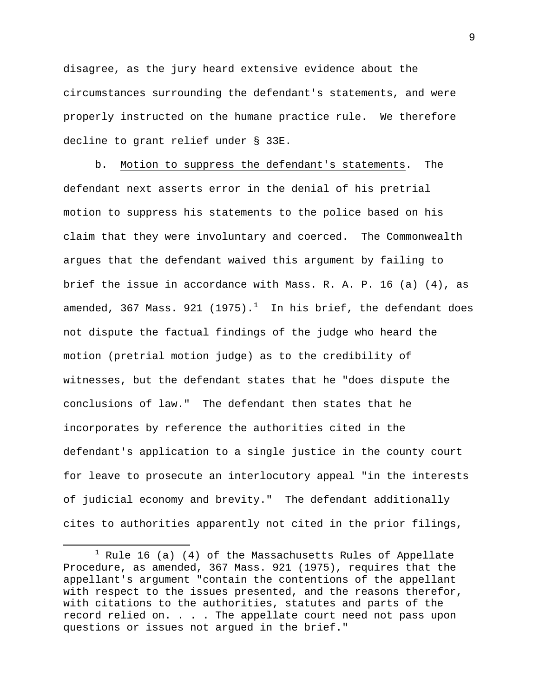disagree, as the jury heard extensive evidence about the circumstances surrounding the defendant's statements, and were properly instructed on the humane practice rule. We therefore decline to grant relief under § 33E.

b. Motion to suppress the defendant's statements. The defendant next asserts error in the denial of his pretrial motion to suppress his statements to the police based on his claim that they were involuntary and coerced. The Commonwealth argues that the defendant waived this argument by failing to brief the issue in accordance with Mass. R. A. P. 16 (a) (4), as amended, 367 Mass. 92[1](#page-8-0) (1975). $^1$  In his brief, the defendant does not dispute the factual findings of the judge who heard the motion (pretrial motion judge) as to the credibility of witnesses, but the defendant states that he "does dispute the conclusions of law." The defendant then states that he incorporates by reference the authorities cited in the defendant's application to a single justice in the county court for leave to prosecute an interlocutory appeal "in the interests of judicial economy and brevity." The defendant additionally cites to authorities apparently not cited in the prior filings,

l

<span id="page-8-0"></span> $1$  Rule 16 (a) (4) of the Massachusetts Rules of Appellate Procedure, as amended, 367 Mass. 921 (1975), requires that the appellant's argument "contain the contentions of the appellant with respect to the issues presented, and the reasons therefor, with citations to the authorities, statutes and parts of the record relied on. . . . The appellate court need not pass upon questions or issues not argued in the brief."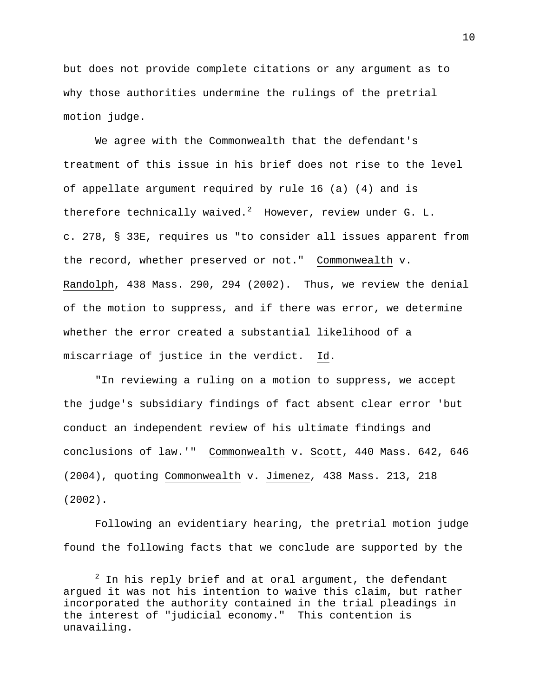but does not provide complete citations or any argument as to why those authorities undermine the rulings of the pretrial motion judge.

We agree with the Commonwealth that the defendant's treatment of this issue in his brief does not rise to the level of appellate argument required by rule 16 (a) (4) and is therefore technically waived.<sup>[2](#page-9-0)</sup> However, review under G. L. c. 278, § 33E, requires us "to consider all issues apparent from the record, whether preserved or not." Commonwealth v. Randolph, 438 Mass. 290, 294 (2002). Thus, we review the denial of the motion to suppress, and if there was error, we determine whether the error created a substantial likelihood of a miscarriage of justice in the verdict. Id.

"In reviewing a ruling on a motion to suppress, we accept the judge's subsidiary findings of fact absent clear error 'but conduct an independent review of his ultimate findings and conclusions of law.'" Commonwealth v. Scott, 440 Mass. 642, 646 (2004), quoting Commonwealth v. Jimenez*,* 438 Mass. 213, 218 (2002).

Following an evidentiary hearing, the pretrial motion judge found the following facts that we conclude are supported by the

 $\overline{\phantom{a}}$ 

<span id="page-9-0"></span> $2$  In his reply brief and at oral argument, the defendant argued it was not his intention to waive this claim, but rather incorporated the authority contained in the trial pleadings in the interest of "judicial economy." This contention is unavailing.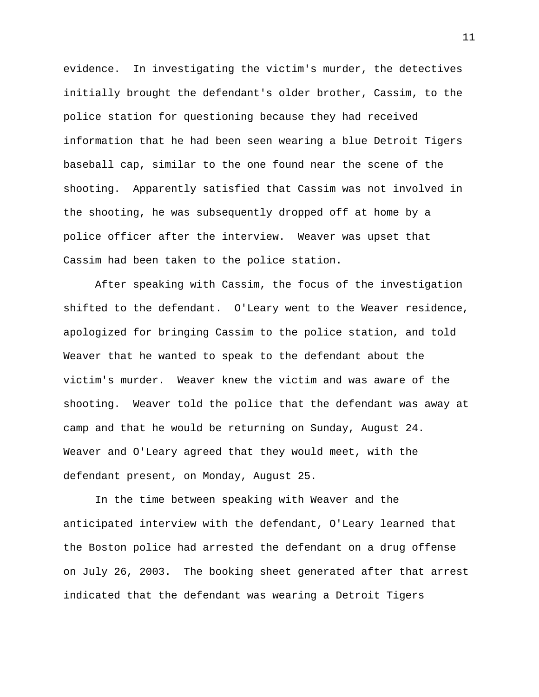evidence. In investigating the victim's murder, the detectives initially brought the defendant's older brother, Cassim, to the police station for questioning because they had received information that he had been seen wearing a blue Detroit Tigers baseball cap, similar to the one found near the scene of the shooting. Apparently satisfied that Cassim was not involved in the shooting, he was subsequently dropped off at home by a police officer after the interview. Weaver was upset that Cassim had been taken to the police station.

After speaking with Cassim, the focus of the investigation shifted to the defendant. O'Leary went to the Weaver residence, apologized for bringing Cassim to the police station, and told Weaver that he wanted to speak to the defendant about the victim's murder. Weaver knew the victim and was aware of the shooting. Weaver told the police that the defendant was away at camp and that he would be returning on Sunday, August 24. Weaver and O'Leary agreed that they would meet, with the defendant present, on Monday, August 25.

In the time between speaking with Weaver and the anticipated interview with the defendant, O'Leary learned that the Boston police had arrested the defendant on a drug offense on July 26, 2003. The booking sheet generated after that arrest indicated that the defendant was wearing a Detroit Tigers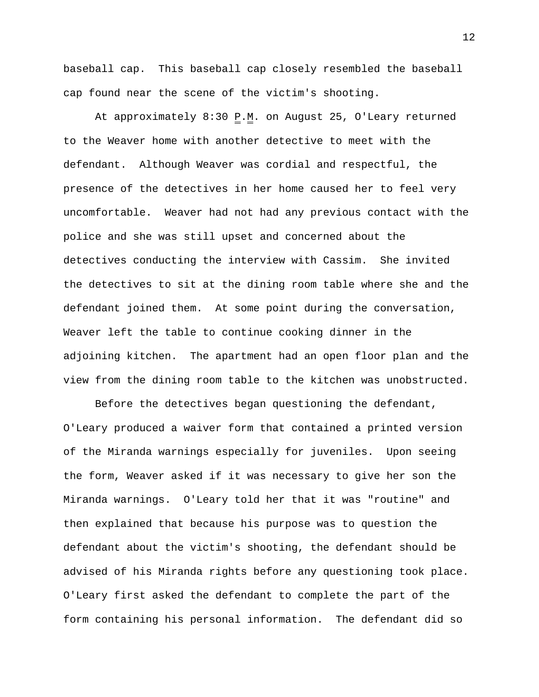baseball cap. This baseball cap closely resembled the baseball cap found near the scene of the victim's shooting.

At approximately  $8:30 \underline{P.M.}$  on August 25, O'Leary returned to the Weaver home with another detective to meet with the defendant. Although Weaver was cordial and respectful, the presence of the detectives in her home caused her to feel very uncomfortable. Weaver had not had any previous contact with the police and she was still upset and concerned about the detectives conducting the interview with Cassim. She invited the detectives to sit at the dining room table where she and the defendant joined them. At some point during the conversation, Weaver left the table to continue cooking dinner in the adjoining kitchen. The apartment had an open floor plan and the view from the dining room table to the kitchen was unobstructed.

Before the detectives began questioning the defendant, O'Leary produced a waiver form that contained a printed version of the Miranda warnings especially for juveniles. Upon seeing the form, Weaver asked if it was necessary to give her son the Miranda warnings. O'Leary told her that it was "routine" and then explained that because his purpose was to question the defendant about the victim's shooting, the defendant should be advised of his Miranda rights before any questioning took place. O'Leary first asked the defendant to complete the part of the form containing his personal information. The defendant did so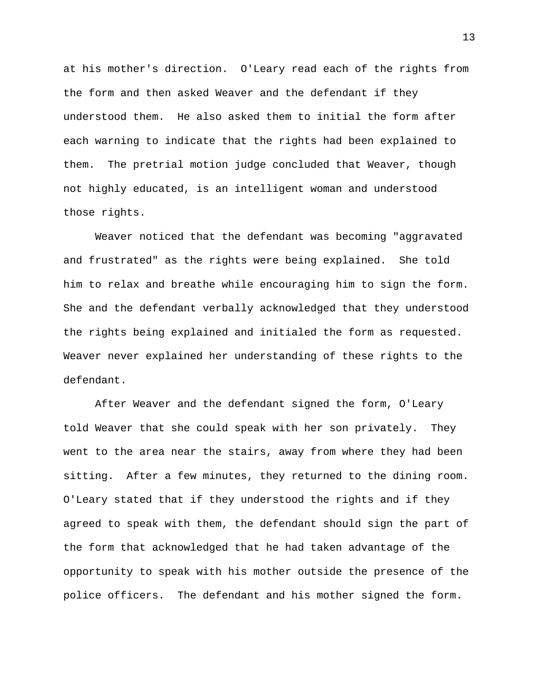at his mother's direction. O'Leary read each of the rights from the form and then asked Weaver and the defendant if they understood them. He also asked them to initial the form after each warning to indicate that the rights had been explained to them. The pretrial motion judge concluded that Weaver, though not highly educated, is an intelligent woman and understood those rights.

Weaver noticed that the defendant was becoming "aggravated and frustrated" as the rights were being explained. She told him to relax and breathe while encouraging him to sign the form. She and the defendant verbally acknowledged that they understood the rights being explained and initialed the form as requested. Weaver never explained her understanding of these rights to the defendant.

After Weaver and the defendant signed the form, O'Leary told Weaver that she could speak with her son privately. They went to the area near the stairs, away from where they had been sitting. After a few minutes, they returned to the dining room. O'Leary stated that if they understood the rights and if they agreed to speak with them, the defendant should sign the part of the form that acknowledged that he had taken advantage of the opportunity to speak with his mother outside the presence of the police officers. The defendant and his mother signed the form.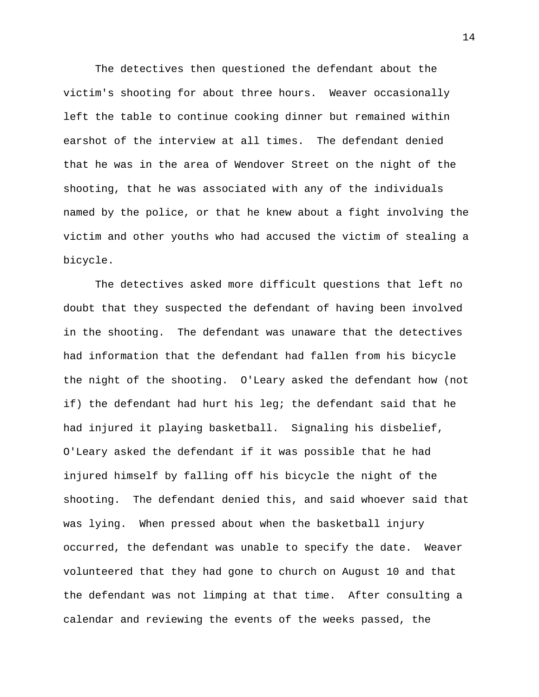The detectives then questioned the defendant about the victim's shooting for about three hours. Weaver occasionally left the table to continue cooking dinner but remained within earshot of the interview at all times. The defendant denied that he was in the area of Wendover Street on the night of the shooting, that he was associated with any of the individuals named by the police, or that he knew about a fight involving the victim and other youths who had accused the victim of stealing a bicycle.

The detectives asked more difficult questions that left no doubt that they suspected the defendant of having been involved in the shooting. The defendant was unaware that the detectives had information that the defendant had fallen from his bicycle the night of the shooting. O'Leary asked the defendant how (not if) the defendant had hurt his leg; the defendant said that he had injured it playing basketball. Signaling his disbelief, O'Leary asked the defendant if it was possible that he had injured himself by falling off his bicycle the night of the shooting. The defendant denied this, and said whoever said that was lying. When pressed about when the basketball injury occurred, the defendant was unable to specify the date. Weaver volunteered that they had gone to church on August 10 and that the defendant was not limping at that time. After consulting a calendar and reviewing the events of the weeks passed, the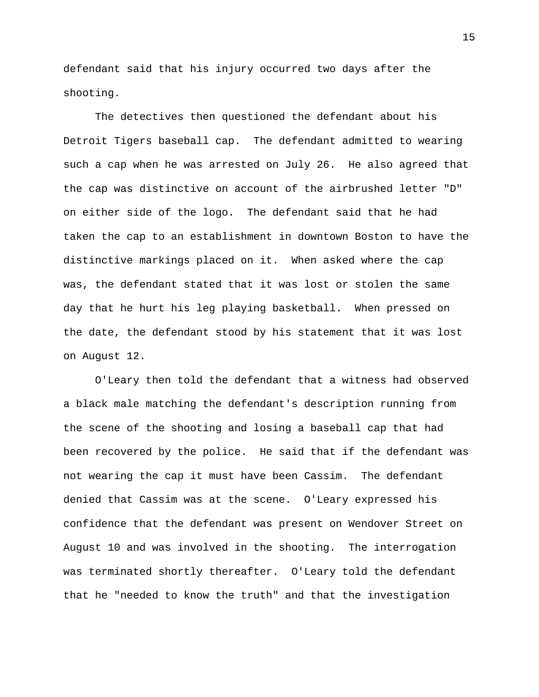defendant said that his injury occurred two days after the shooting.

The detectives then questioned the defendant about his Detroit Tigers baseball cap. The defendant admitted to wearing such a cap when he was arrested on July 26. He also agreed that the cap was distinctive on account of the airbrushed letter "D" on either side of the logo. The defendant said that he had taken the cap to an establishment in downtown Boston to have the distinctive markings placed on it. When asked where the cap was, the defendant stated that it was lost or stolen the same day that he hurt his leg playing basketball. When pressed on the date, the defendant stood by his statement that it was lost on August 12.

O'Leary then told the defendant that a witness had observed a black male matching the defendant's description running from the scene of the shooting and losing a baseball cap that had been recovered by the police. He said that if the defendant was not wearing the cap it must have been Cassim. The defendant denied that Cassim was at the scene. O'Leary expressed his confidence that the defendant was present on Wendover Street on August 10 and was involved in the shooting. The interrogation was terminated shortly thereafter. O'Leary told the defendant that he "needed to know the truth" and that the investigation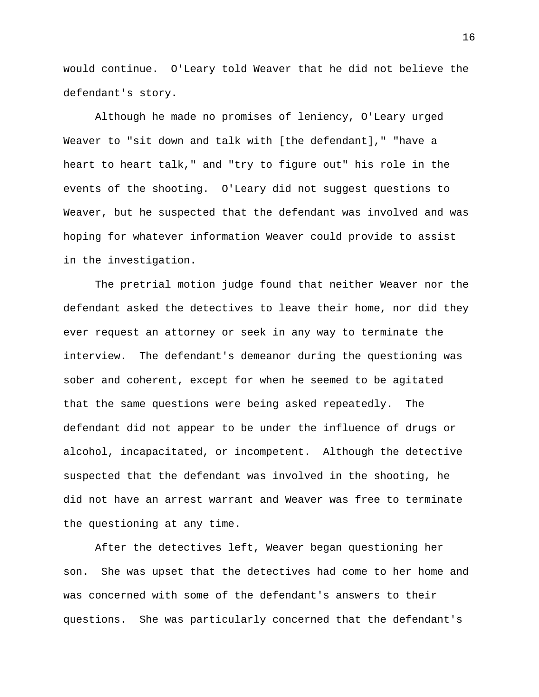would continue. O'Leary told Weaver that he did not believe the defendant's story.

Although he made no promises of leniency, O'Leary urged Weaver to "sit down and talk with [the defendant]," "have a heart to heart talk," and "try to figure out" his role in the events of the shooting. O'Leary did not suggest questions to Weaver, but he suspected that the defendant was involved and was hoping for whatever information Weaver could provide to assist in the investigation.

The pretrial motion judge found that neither Weaver nor the defendant asked the detectives to leave their home, nor did they ever request an attorney or seek in any way to terminate the interview. The defendant's demeanor during the questioning was sober and coherent, except for when he seemed to be agitated that the same questions were being asked repeatedly. The defendant did not appear to be under the influence of drugs or alcohol, incapacitated, or incompetent. Although the detective suspected that the defendant was involved in the shooting, he did not have an arrest warrant and Weaver was free to terminate the questioning at any time.

After the detectives left, Weaver began questioning her son. She was upset that the detectives had come to her home and was concerned with some of the defendant's answers to their questions. She was particularly concerned that the defendant's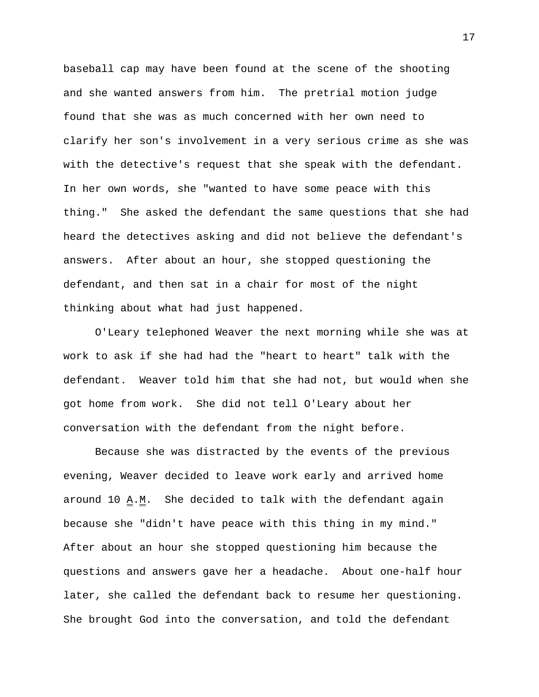baseball cap may have been found at the scene of the shooting and she wanted answers from him. The pretrial motion judge found that she was as much concerned with her own need to clarify her son's involvement in a very serious crime as she was with the detective's request that she speak with the defendant. In her own words, she "wanted to have some peace with this thing." She asked the defendant the same questions that she had heard the detectives asking and did not believe the defendant's answers. After about an hour, she stopped questioning the defendant, and then sat in a chair for most of the night thinking about what had just happened.

O'Leary telephoned Weaver the next morning while she was at work to ask if she had had the "heart to heart" talk with the defendant. Weaver told him that she had not, but would when she got home from work. She did not tell O'Leary about her conversation with the defendant from the night before.

Because she was distracted by the events of the previous evening, Weaver decided to leave work early and arrived home around 10  $\underline{A}.\underline{M}$ . She decided to talk with the defendant again because she "didn't have peace with this thing in my mind." After about an hour she stopped questioning him because the questions and answers gave her a headache. About one-half hour later, she called the defendant back to resume her questioning. She brought God into the conversation, and told the defendant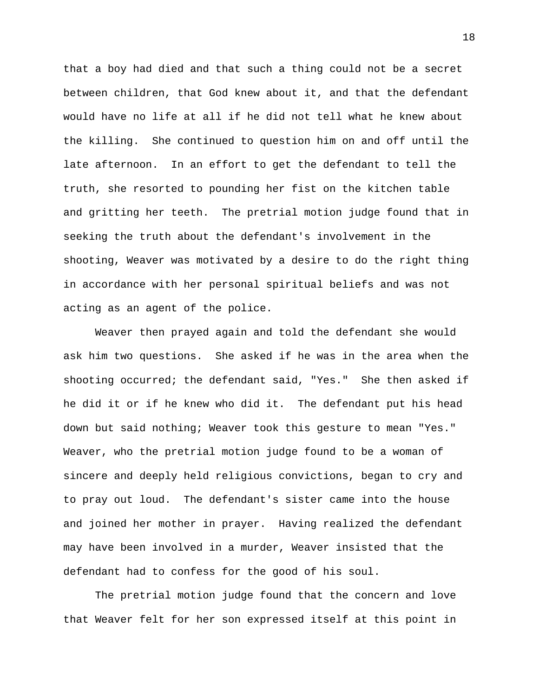that a boy had died and that such a thing could not be a secret between children, that God knew about it, and that the defendant would have no life at all if he did not tell what he knew about the killing. She continued to question him on and off until the late afternoon. In an effort to get the defendant to tell the truth, she resorted to pounding her fist on the kitchen table and gritting her teeth. The pretrial motion judge found that in seeking the truth about the defendant's involvement in the shooting, Weaver was motivated by a desire to do the right thing in accordance with her personal spiritual beliefs and was not acting as an agent of the police.

Weaver then prayed again and told the defendant she would ask him two questions. She asked if he was in the area when the shooting occurred; the defendant said, "Yes." She then asked if he did it or if he knew who did it. The defendant put his head down but said nothing; Weaver took this gesture to mean "Yes." Weaver, who the pretrial motion judge found to be a woman of sincere and deeply held religious convictions, began to cry and to pray out loud. The defendant's sister came into the house and joined her mother in prayer. Having realized the defendant may have been involved in a murder, Weaver insisted that the defendant had to confess for the good of his soul.

The pretrial motion judge found that the concern and love that Weaver felt for her son expressed itself at this point in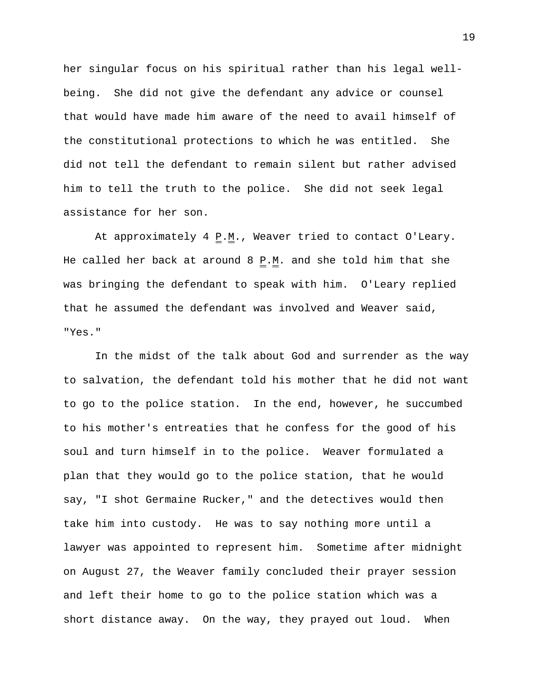her singular focus on his spiritual rather than his legal wellbeing. She did not give the defendant any advice or counsel that would have made him aware of the need to avail himself of the constitutional protections to which he was entitled. She did not tell the defendant to remain silent but rather advised him to tell the truth to the police. She did not seek legal assistance for her son.

At approximately 4  $\underline{P.M.}$ , Weaver tried to contact O'Leary. He called her back at around 8  $\underline{P.M.}$  and she told him that she was bringing the defendant to speak with him. O'Leary replied that he assumed the defendant was involved and Weaver said, "Yes."

In the midst of the talk about God and surrender as the way to salvation, the defendant told his mother that he did not want to go to the police station. In the end, however, he succumbed to his mother's entreaties that he confess for the good of his soul and turn himself in to the police. Weaver formulated a plan that they would go to the police station, that he would say, "I shot Germaine Rucker," and the detectives would then take him into custody. He was to say nothing more until a lawyer was appointed to represent him. Sometime after midnight on August 27, the Weaver family concluded their prayer session and left their home to go to the police station which was a short distance away. On the way, they prayed out loud. When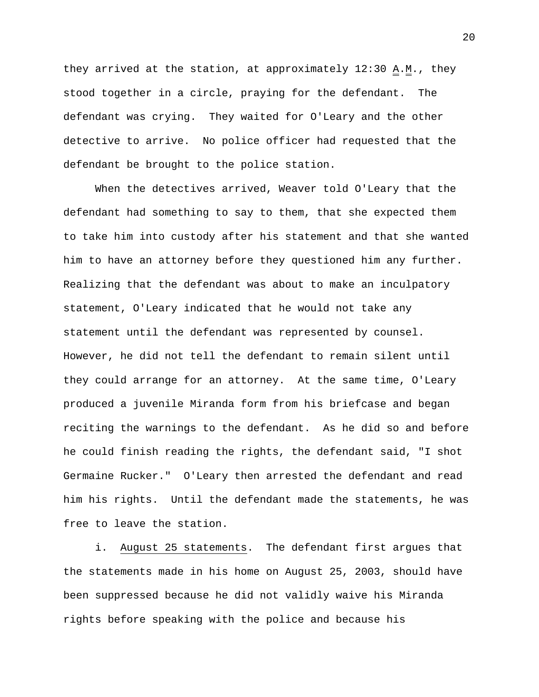they arrived at the station, at approximately  $12:30 \underline{A.M.}$ , they stood together in a circle, praying for the defendant. The defendant was crying. They waited for O'Leary and the other detective to arrive. No police officer had requested that the defendant be brought to the police station.

When the detectives arrived, Weaver told O'Leary that the defendant had something to say to them, that she expected them to take him into custody after his statement and that she wanted him to have an attorney before they questioned him any further. Realizing that the defendant was about to make an inculpatory statement, O'Leary indicated that he would not take any statement until the defendant was represented by counsel. However, he did not tell the defendant to remain silent until they could arrange for an attorney. At the same time, O'Leary produced a juvenile Miranda form from his briefcase and began reciting the warnings to the defendant. As he did so and before he could finish reading the rights, the defendant said, "I shot Germaine Rucker." O'Leary then arrested the defendant and read him his rights. Until the defendant made the statements, he was free to leave the station.

i. August 25 statements. The defendant first argues that the statements made in his home on August 25, 2003, should have been suppressed because he did not validly waive his Miranda rights before speaking with the police and because his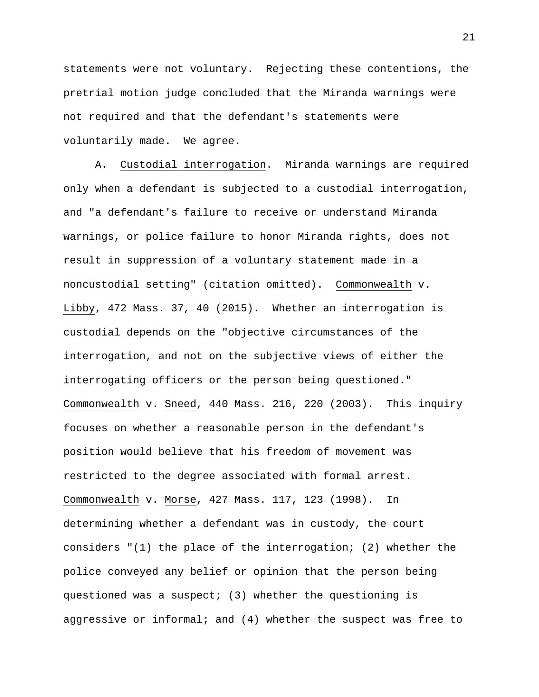statements were not voluntary. Rejecting these contentions, the pretrial motion judge concluded that the Miranda warnings were not required and that the defendant's statements were voluntarily made. We agree.

A. Custodial interrogation. Miranda warnings are required only when a defendant is subjected to a custodial interrogation, and "a defendant's failure to receive or understand Miranda warnings, or police failure to honor Miranda rights, does not result in suppression of a voluntary statement made in a noncustodial setting" (citation omitted). Commonwealth v. Libby, 472 Mass. 37, 40 (2015). Whether an interrogation is custodial depends on the "objective circumstances of the interrogation, and not on the subjective views of either the interrogating officers or the person being questioned." Commonwealth v. Sneed, 440 Mass. 216, 220 (2003). This inquiry focuses on whether a reasonable person in the defendant's position would believe that his freedom of movement was restricted to the degree associated with formal arrest. Commonwealth v. Morse, 427 Mass. 117, 123 (1998). In determining whether a defendant was in custody, the court considers "(1) the place of the interrogation; (2) whether the police conveyed any belief or opinion that the person being questioned was a suspect; (3) whether the questioning is aggressive or informal; and (4) whether the suspect was free to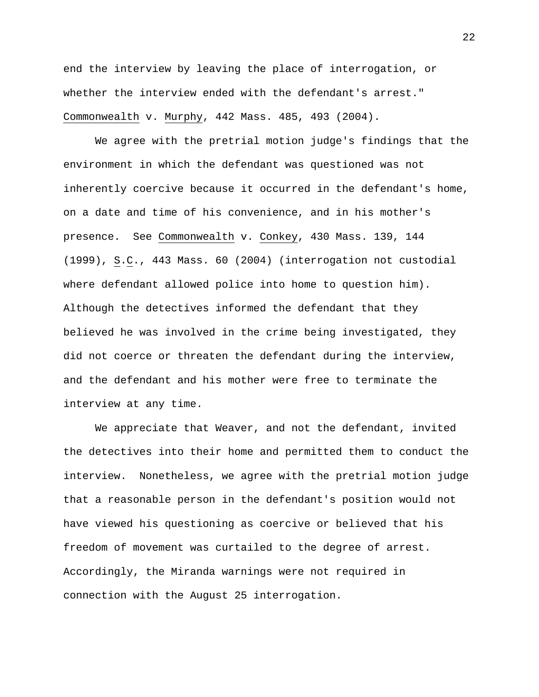end the interview by leaving the place of interrogation, or whether the interview ended with the defendant's arrest." Commonwealth v. Murphy, 442 Mass. 485, 493 (2004).

We agree with the pretrial motion judge's findings that the environment in which the defendant was questioned was not inherently coercive because it occurred in the defendant's home, on a date and time of his convenience, and in his mother's presence. See Commonwealth v. Conkey, 430 Mass. 139, 144 (1999), S.C., 443 Mass. 60 (2004) (interrogation not custodial where defendant allowed police into home to question him). Although the detectives informed the defendant that they believed he was involved in the crime being investigated, they did not coerce or threaten the defendant during the interview, and the defendant and his mother were free to terminate the interview at any time.

We appreciate that Weaver, and not the defendant, invited the detectives into their home and permitted them to conduct the interview. Nonetheless, we agree with the pretrial motion judge that a reasonable person in the defendant's position would not have viewed his questioning as coercive or believed that his freedom of movement was curtailed to the degree of arrest. Accordingly, the Miranda warnings were not required in connection with the August 25 interrogation.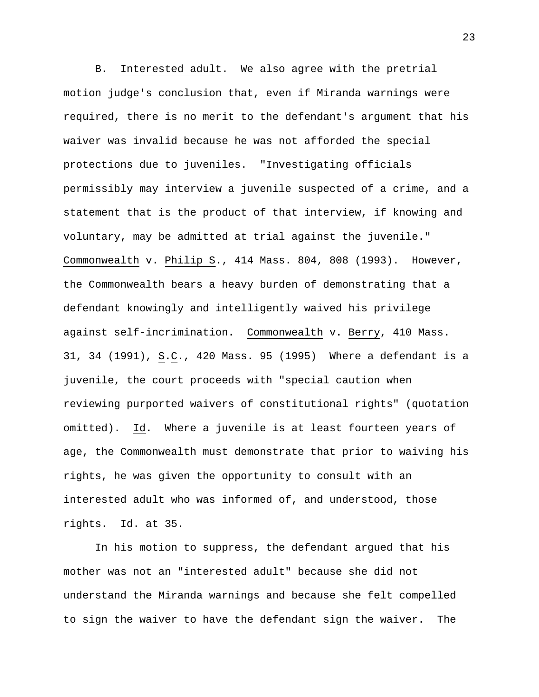B. Interested adult. We also agree with the pretrial motion judge's conclusion that, even if Miranda warnings were required, there is no merit to the defendant's argument that his waiver was invalid because he was not afforded the special protections due to juveniles. "Investigating officials permissibly may interview a juvenile suspected of a crime, and a statement that is the product of that interview, if knowing and voluntary, may be admitted at trial against the juvenile." Commonwealth v. Philip S., 414 Mass. 804, 808 (1993). However, the Commonwealth bears a heavy burden of demonstrating that a defendant knowingly and intelligently waived his privilege against self-incrimination. Commonwealth v. Berry, 410 Mass. 31, 34 (1991), S.C., 420 Mass. 95 (1995) Where a defendant is a juvenile, the court proceeds with "special caution when reviewing purported waivers of constitutional rights" (quotation omitted). Id. Where a juvenile is at least fourteen years of age, the Commonwealth must demonstrate that prior to waiving his rights, he was given the opportunity to consult with an interested adult who was informed of, and understood, those rights. Id. at 35.

In his motion to suppress, the defendant argued that his mother was not an "interested adult" because she did not understand the Miranda warnings and because she felt compelled to sign the waiver to have the defendant sign the waiver. The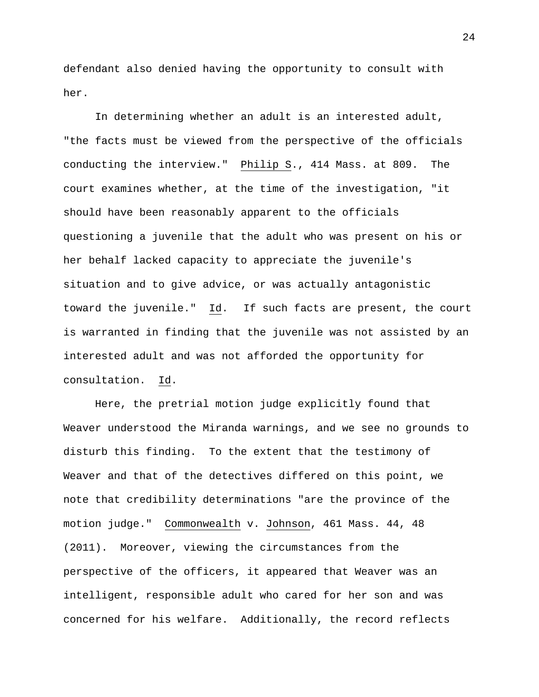defendant also denied having the opportunity to consult with her.

In determining whether an adult is an interested adult, "the facts must be viewed from the perspective of the officials conducting the interview." [Philip S., 414 Mass.](https://1.next.westlaw.com/Link/Document/FullText?findType=Y&serNum=1991089509&pubNum=578&originatingDoc=I20995cf0d3ea11d983e7e9deff98dc6f&refType=RP&originationContext=document&transitionType=DocumentItem&contextData=(sc.Search)) at 809. The court examines whether, at the time of the investigation, "it should have been reasonably apparent to the officials questioning a juvenile that the adult who was present on his or her behalf lacked capacity to appreciate the juvenile's situation and to give advice, or was actually antagonistic toward the juvenile." Id. If such facts are present, the court is warranted in finding that the juvenile was not assisted by an interested adult and was not afforded the opportunity for consultation. Id.

Here, the pretrial motion judge explicitly found that Weaver understood the Miranda warnings, and we see no grounds to disturb this finding. To the extent that the testimony of Weaver and that of the detectives differed on this point, we note that credibility determinations "are the province of the motion judge." Commonwealth v. Johnson, 461 Mass. 44, 48 (2011). Moreover, viewing the circumstances from the perspective of the officers, it appeared that Weaver was an intelligent, responsible adult who cared for her son and was concerned for his welfare. Additionally, the record reflects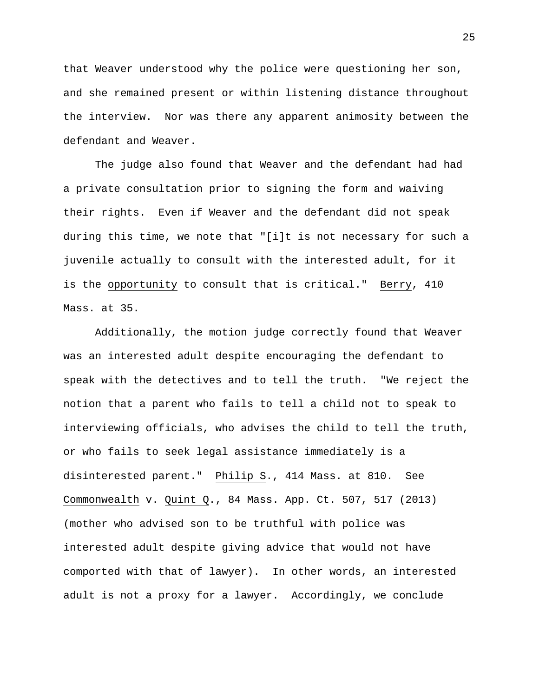that Weaver understood why the police were questioning her son, and she remained present or within listening distance throughout the interview. Nor was there any apparent animosity between the defendant and Weaver.

The judge also found that Weaver and the defendant had had a private consultation prior to signing the form and waiving their rights. Even if Weaver and the defendant did not speak during this time, we note that "[i]t is not necessary for such a juvenile actually to consult with the interested adult, for it is the opportunity to consult that is critical." Berry, 410 Mass. at 35.

Additionally, the motion judge correctly found that Weaver was an interested adult despite encouraging the defendant to speak with the detectives and to tell the truth. "We reject the notion that a parent who fails to tell a child not to speak to interviewing officials, who advises the child to tell the truth, or who fails to seek legal assistance immediately is a disinterested parent." Philip S., 414 Mass. at 810. See Commonwealth v. Quint Q., 84 Mass. App. Ct. 507, 517 (2013) (mother who advised son to be truthful with police was interested adult despite giving advice that would not have comported with that of lawyer). In other words, an interested adult is not a proxy for a lawyer. Accordingly, we conclude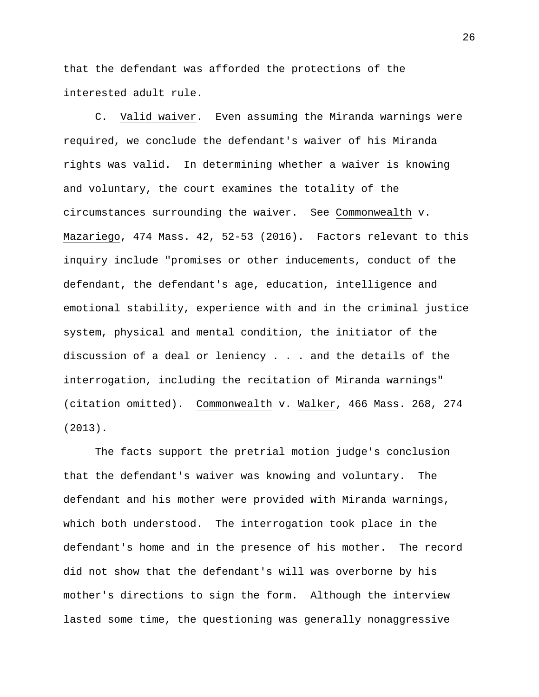that the defendant was afforded the protections of the interested adult rule.

C. Valid waiver. Even assuming the Miranda warnings were required, we conclude the defendant's waiver of his Miranda rights was valid. In determining whether a waiver is knowing and voluntary, the court examines the totality of the circumstances surrounding the waiver. See Commonwealth v. Mazariego, 474 Mass. 42, 52-53 (2016). Factors relevant to this inquiry include "promises or other inducements, conduct of the defendant, the defendant's age, education, intelligence and emotional stability, experience with and in the criminal justice system, physical and mental condition, the initiator of the discussion of a deal or leniency . . . and the details of the interrogation, including the recitation of Miranda warnings" (citation omitted). Commonwealth v. Walker, 466 Mass. 268, 274 (2013).

The facts support the pretrial motion judge's conclusion that the defendant's waiver was knowing and voluntary. The defendant and his mother were provided with Miranda warnings, which both understood. The interrogation took place in the defendant's home and in the presence of his mother. The record did not show that the defendant's will was overborne by his mother's directions to sign the form. Although the interview lasted some time, the questioning was generally nonaggressive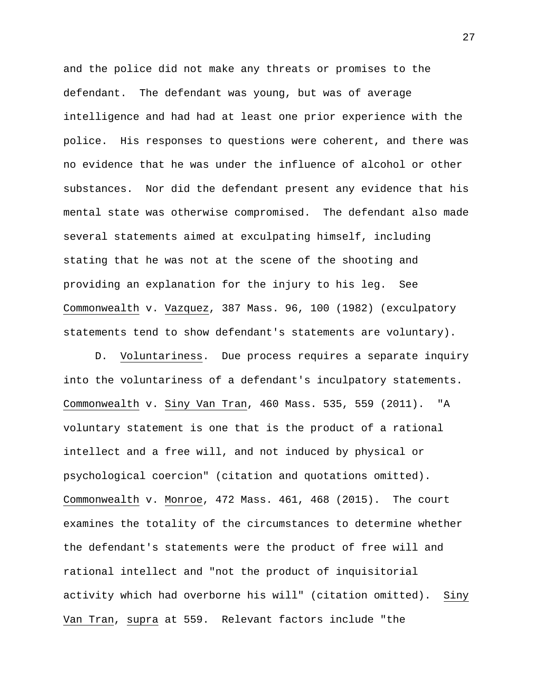and the police did not make any threats or promises to the defendant. The defendant was young, but was of average intelligence and had had at least one prior experience with the police. His responses to questions were coherent, and there was no evidence that he was under the influence of alcohol or other substances. Nor did the defendant present any evidence that his mental state was otherwise compromised. The defendant also made several statements aimed at exculpating himself, including stating that he was not at the scene of the shooting and providing an explanation for the injury to his leg. See Commonwealth v. Vazquez, 387 Mass. 96, 100 (1982) (exculpatory statements tend to show defendant's statements are voluntary).

D. Voluntariness. Due process requires a separate inquiry into the voluntariness of a defendant's inculpatory statements. Commonwealth v. Siny Van Tran, 460 Mass. 535, 559 (2011). "A voluntary statement is one that is the product of a rational intellect and a free will, and not induced by physical or psychological coercion" (citation and quotations omitted). Commonwealth v. Monroe, 472 Mass. 461, 468 (2015). The court examines the totality of the circumstances to determine whether the defendant's statements were the product of free will and rational intellect and "not the product of inquisitorial activity which had overborne his will" (citation omitted). Siny Van Tran, supra at 559. Relevant factors include "the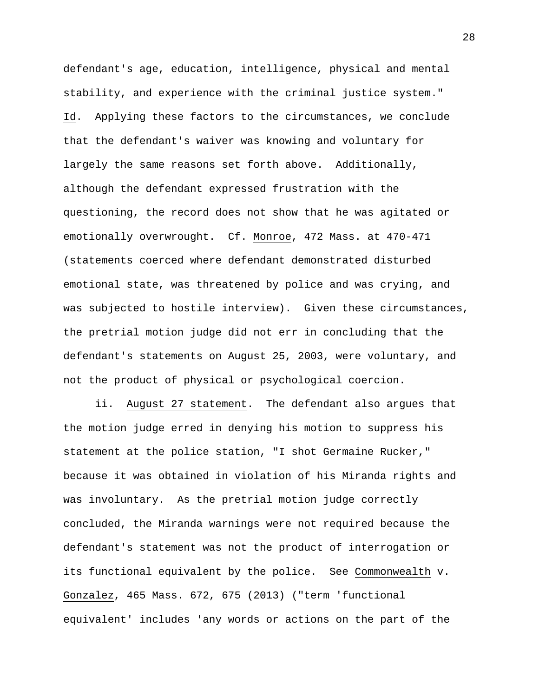defendant's age, education, intelligence, physical and mental stability, and experience with the criminal justice system." Id. Applying these factors to the circumstances, we conclude that the defendant's waiver was knowing and voluntary for largely the same reasons set forth above. Additionally, although the defendant expressed frustration with the questioning, the record does not show that he was agitated or emotionally overwrought. Cf. Monroe, 472 Mass. at 470-471 (statements coerced where defendant demonstrated disturbed emotional state, was threatened by police and was crying, and was subjected to hostile interview). Given these circumstances, the pretrial motion judge did not err in concluding that the defendant's statements on August 25, 2003, were voluntary, and not the product of physical or psychological coercion.

ii. August 27 statement. The defendant also argues that the motion judge erred in denying his motion to suppress his statement at the police station, "I shot Germaine Rucker," because it was obtained in violation of his Miranda rights and was involuntary. As the pretrial motion judge correctly concluded, the Miranda warnings were not required because the defendant's statement was not the product of interrogation or its functional equivalent by the police. See Commonwealth v. Gonzalez, 465 Mass. 672, 675 (2013) ("term 'functional equivalent' includes 'any words or actions on the part of the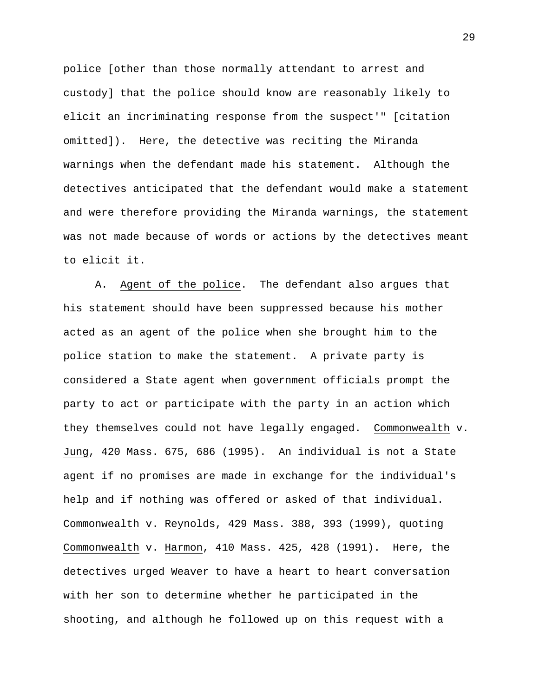police [other than those normally attendant to arrest and custody] that the police should know are reasonably likely to elicit an incriminating response from the suspect'" [citation omitted]). Here, the detective was reciting the Miranda warnings when the defendant made his statement. Although the detectives anticipated that the defendant would make a statement and were therefore providing the Miranda warnings, the statement was not made because of words or actions by the detectives meant to elicit it.

A. Agent of the police. The defendant also argues that his statement should have been suppressed because his mother acted as an agent of the police when she brought him to the police station to make the statement. A private party is considered a State agent when government officials prompt the party to act or participate with the party in an action which they themselves could not have legally engaged. Commonwealth v. Jung, 420 Mass. 675, 686 (1995). An individual is not a State agent if no promises are made in exchange for the individual's help and if nothing was offered or asked of that individual. Commonwealth v. Reynolds, 429 Mass. 388, 393 (1999), quoting Commonwealth v. Harmon, 410 Mass. 425, 428 (1991). Here, the detectives urged Weaver to have a heart to heart conversation with her son to determine whether he participated in the shooting, and although he followed up on this request with a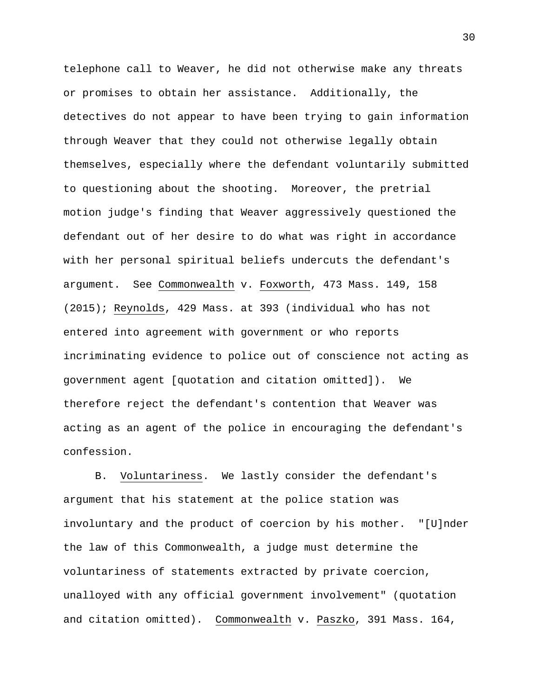telephone call to Weaver, he did not otherwise make any threats or promises to obtain her assistance. Additionally, the detectives do not appear to have been trying to gain information through Weaver that they could not otherwise legally obtain themselves, especially where the defendant voluntarily submitted to questioning about the shooting. Moreover, the pretrial motion judge's finding that Weaver aggressively questioned the defendant out of her desire to do what was right in accordance with her personal spiritual beliefs undercuts the defendant's argument. See Commonwealth v. Foxworth, 473 Mass. 149, 158 (2015); Reynolds, 429 Mass. at 393 (individual who has not entered into agreement with government or who reports incriminating evidence to police out of conscience not acting as government agent [quotation and citation omitted]). We therefore reject the defendant's contention that Weaver was acting as an agent of the police in encouraging the defendant's confession.

B. Voluntariness. We lastly consider the defendant's argument that his statement at the police station was involuntary and the product of coercion by his mother. "[U]nder the law of this Commonwealth, a judge must determine the voluntariness of statements extracted by private coercion, unalloyed with any official government involvement" (quotation and citation omitted). Commonwealth v. Paszko, 391 Mass. 164,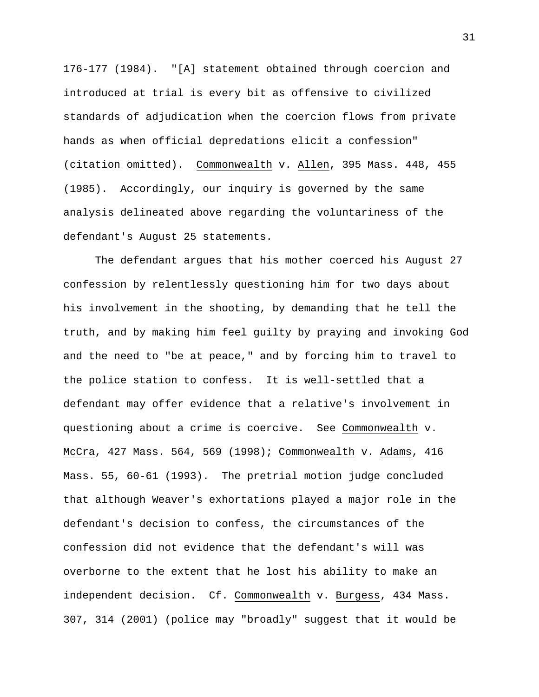176-177 (1984). "[A] statement obtained through coercion and introduced at trial is every bit as offensive to civilized standards of adjudication when the coercion flows from private hands as when official depredations elicit a confession" (citation omitted). Commonwealth v. Allen, 395 Mass. 448, 455 (1985). Accordingly, our inquiry is governed by the same analysis delineated above regarding the voluntariness of the defendant's August 25 statements.

The defendant argues that his mother coerced his August 27 confession by relentlessly questioning him for two days about his involvement in the shooting, by demanding that he tell the truth, and by making him feel guilty by praying and invoking God and the need to "be at peace," and by forcing him to travel to the police station to confess. It is well-settled that a defendant may offer evidence that a relative's involvement in questioning about a crime is coercive. See Commonwealth v. McCra, 427 Mass. 564, 569 (1998); Commonwealth v. Adams, 416 Mass. 55, 60-61 (1993). The pretrial motion judge concluded that although Weaver's exhortations played a major role in the defendant's decision to confess, the circumstances of the confession did not evidence that the defendant's will was overborne to the extent that he lost his ability to make an independent decision. Cf. Commonwealth v. Burgess, 434 Mass. 307, 314 (2001) (police may "broadly" suggest that it would be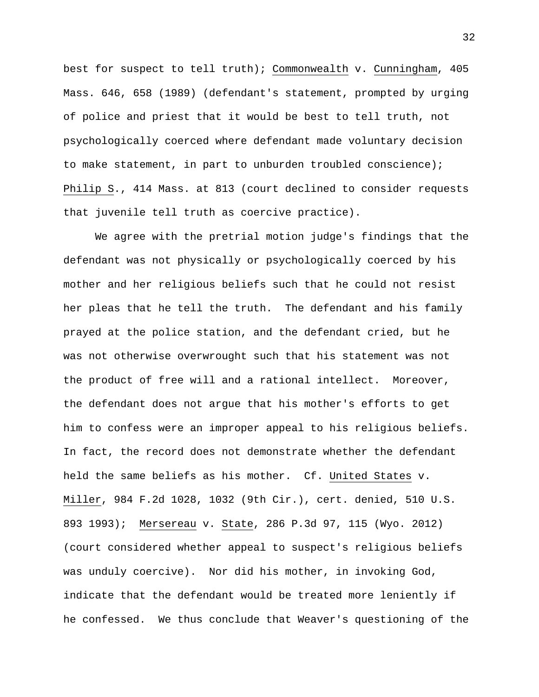best for suspect to tell truth); Commonwealth v. Cunningham, 405 Mass. 646, 658 (1989) (defendant's statement, prompted by urging of police and priest that it would be best to tell truth, not psychologically coerced where defendant made voluntary decision to make statement, in part to unburden troubled conscience); Philip S., 414 Mass. at 813 (court declined to consider requests that juvenile tell truth as coercive practice).

We agree with the pretrial motion judge's findings that the defendant was not physically or psychologically coerced by his mother and her religious beliefs such that he could not resist her pleas that he tell the truth. The defendant and his family prayed at the police station, and the defendant cried, but he was not otherwise overwrought such that his statement was not the product of free will and a rational intellect. Moreover, the defendant does not argue that his mother's efforts to get him to confess were an improper appeal to his religious beliefs. In fact, the record does not demonstrate whether the defendant held the same beliefs as his mother. Cf. United States v. Miller, 984 F.2d 1028, 1032 (9th Cir.), cert. denied, 510 U.S. 893 1993); Mersereau v. State, 286 P.3d 97, 115 (Wyo. 2012) (court considered whether appeal to suspect's religious beliefs was unduly coercive). Nor did his mother, in invoking God, indicate that the defendant would be treated more leniently if he confessed. We thus conclude that Weaver's questioning of the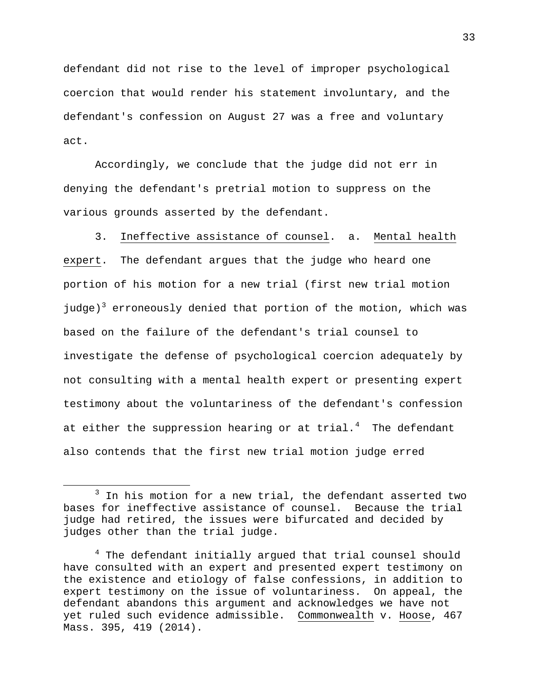defendant did not rise to the level of improper psychological coercion that would render his statement involuntary, and the defendant's confession on August 27 was a free and voluntary act.

Accordingly, we conclude that the judge did not err in denying the defendant's pretrial motion to suppress on the various grounds asserted by the defendant.

3. Ineffective assistance of counsel. a. Mental health expert. The defendant argues that the judge who heard one portion of his motion for a new trial (first new trial motion judge)<sup>[3](#page-32-0)</sup> erroneously denied that portion of the motion, which was based on the failure of the defendant's trial counsel to investigate the defense of psychological coercion adequately by not consulting with a mental health expert or presenting expert testimony about the voluntariness of the defendant's confession at either the suppression hearing or at trial. $^4$  $^4$  The defendant also contends that the first new trial motion judge erred

 $\overline{\phantom{a}}$ 

<span id="page-32-0"></span> $3$  In his motion for a new trial, the defendant asserted two bases for ineffective assistance of counsel. Because the trial judge had retired, the issues were bifurcated and decided by judges other than the trial judge.

<span id="page-32-1"></span><sup>4</sup> The defendant initially argued that trial counsel should have consulted with an expert and presented expert testimony on the existence and etiology of false confessions, in addition to expert testimony on the issue of voluntariness. On appeal, the defendant abandons this argument and acknowledges we have not yet ruled such evidence admissible. Commonwealth v. Hoose, 467 Mass. 395, 419 (2014).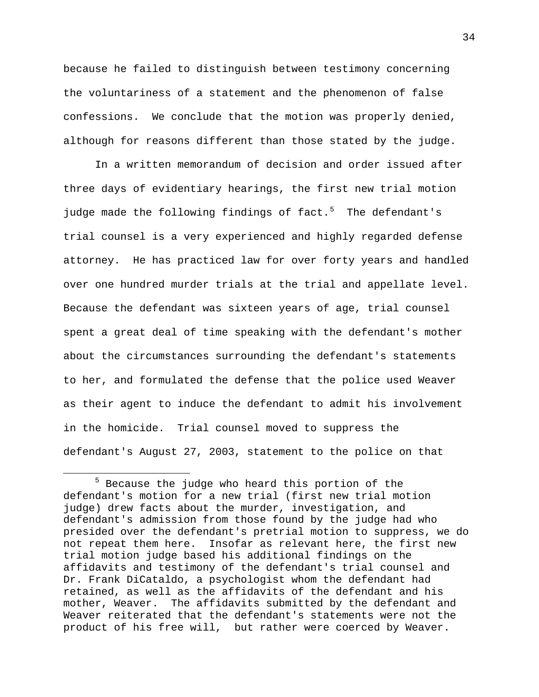because he failed to distinguish between testimony concerning the voluntariness of a statement and the phenomenon of false confessions. We conclude that the motion was properly denied, although for reasons different than those stated by the judge.

In a written memorandum of decision and order issued after three days of evidentiary hearings, the first new trial motion judge made the following findings of fact.<sup>[5](#page-33-0)</sup> The defendant's trial counsel is a very experienced and highly regarded defense attorney. He has practiced law for over forty years and handled over one hundred murder trials at the trial and appellate level. Because the defendant was sixteen years of age, trial counsel spent a great deal of time speaking with the defendant's mother about the circumstances surrounding the defendant's statements to her, and formulated the defense that the police used Weaver as their agent to induce the defendant to admit his involvement in the homicide. Trial counsel moved to suppress the defendant's August 27, 2003, statement to the police on that

l

<span id="page-33-0"></span><sup>5</sup> Because the judge who heard this portion of the defendant's motion for a new trial (first new trial motion judge) drew facts about the murder, investigation, and defendant's admission from those found by the judge had who presided over the defendant's pretrial motion to suppress, we do not repeat them here. Insofar as relevant here, the first new trial motion judge based his additional findings on the affidavits and testimony of the defendant's trial counsel and Dr. Frank DiCataldo, a psychologist whom the defendant had retained, as well as the affidavits of the defendant and his mother, Weaver. The affidavits submitted by the defendant and Weaver reiterated that the defendant's statements were not the product of his free will, but rather were coerced by Weaver.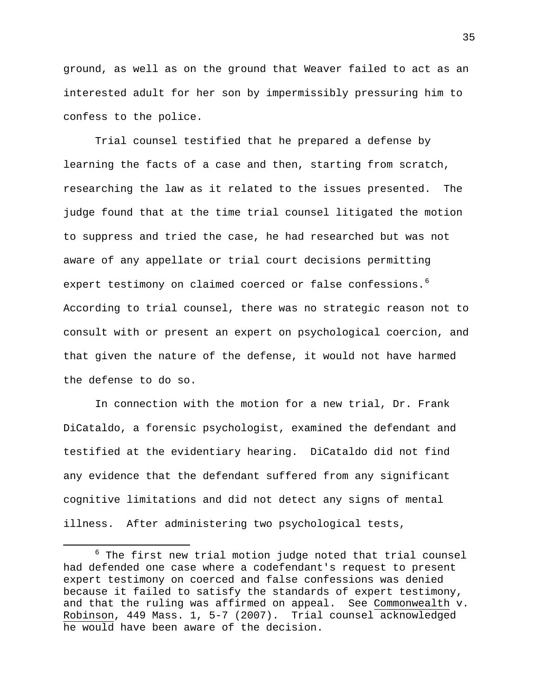ground, as well as on the ground that Weaver failed to act as an interested adult for her son by impermissibly pressuring him to confess to the police.

Trial counsel testified that he prepared a defense by learning the facts of a case and then, starting from scratch, researching the law as it related to the issues presented. The judge found that at the time trial counsel litigated the motion to suppress and tried the case, he had researched but was not aware of any appellate or trial court decisions permitting expert testimony on claimed coerced or false confessions.<sup>[6](#page-34-0)</sup> According to trial counsel, there was no strategic reason not to consult with or present an expert on psychological coercion, and that given the nature of the defense, it would not have harmed the defense to do so.

In connection with the motion for a new trial, Dr. Frank DiCataldo, a forensic psychologist, examined the defendant and testified at the evidentiary hearing. DiCataldo did not find any evidence that the defendant suffered from any significant cognitive limitations and did not detect any signs of mental illness. After administering two psychological tests,

l

<span id="page-34-0"></span> $6$  The first new trial motion judge noted that trial counsel had defended one case where a codefendant's request to present expert testimony on coerced and false confessions was denied because it failed to satisfy the standards of expert testimony, and that the ruling was affirmed on appeal. See Commonwealth v. Robinson, 449 Mass. 1, 5-7 (2007). Trial counsel acknowledged he would have been aware of the decision.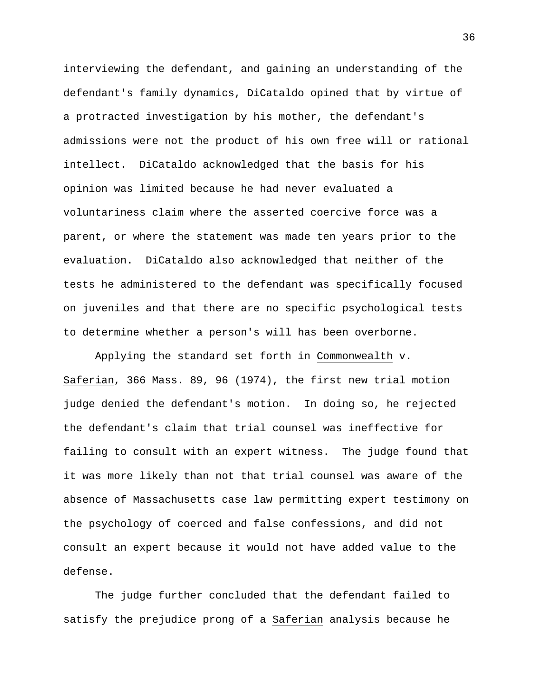interviewing the defendant, and gaining an understanding of the defendant's family dynamics, DiCataldo opined that by virtue of a protracted investigation by his mother, the defendant's admissions were not the product of his own free will or rational intellect. DiCataldo acknowledged that the basis for his opinion was limited because he had never evaluated a voluntariness claim where the asserted coercive force was a parent, or where the statement was made ten years prior to the evaluation. DiCataldo also acknowledged that neither of the tests he administered to the defendant was specifically focused on juveniles and that there are no specific psychological tests to determine whether a person's will has been overborne.

Applying the standard set forth in Commonwealth v. Saferian, 366 Mass. 89, 96 (1974), the first new trial motion judge denied the defendant's motion. In doing so, he rejected the defendant's claim that trial counsel was ineffective for failing to consult with an expert witness. The judge found that it was more likely than not that trial counsel was aware of the absence of Massachusetts case law permitting expert testimony on the psychology of coerced and false confessions, and did not consult an expert because it would not have added value to the defense.

The judge further concluded that the defendant failed to satisfy the prejudice prong of a Saferian analysis because he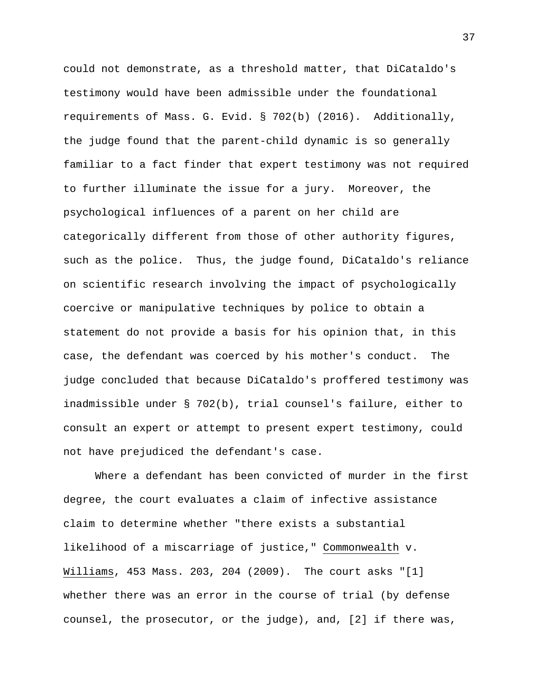could not demonstrate, as a threshold matter, that DiCataldo's testimony would have been admissible under the foundational requirements of Mass. G. Evid. § 702(b) (2016). Additionally, the judge found that the parent-child dynamic is so generally familiar to a fact finder that expert testimony was not required to further illuminate the issue for a jury. Moreover, the psychological influences of a parent on her child are categorically different from those of other authority figures, such as the police. Thus, the judge found, DiCataldo's reliance on scientific research involving the impact of psychologically coercive or manipulative techniques by police to obtain a statement do not provide a basis for his opinion that, in this case, the defendant was coerced by his mother's conduct. The judge concluded that because DiCataldo's proffered testimony was inadmissible under § 702(b), trial counsel's failure, either to consult an expert or attempt to present expert testimony, could not have prejudiced the defendant's case.

Where a defendant has been convicted of murder in the first degree, the court evaluates a claim of infective assistance claim to determine whether "there exists a substantial likelihood of a miscarriage of justice," Commonwealth v. Williams, 453 Mass. 203, 204 (2009). The court asks "[1] whether there was an error in the course of trial (by defense counsel, the prosecutor, or the judge), and, [2] if there was,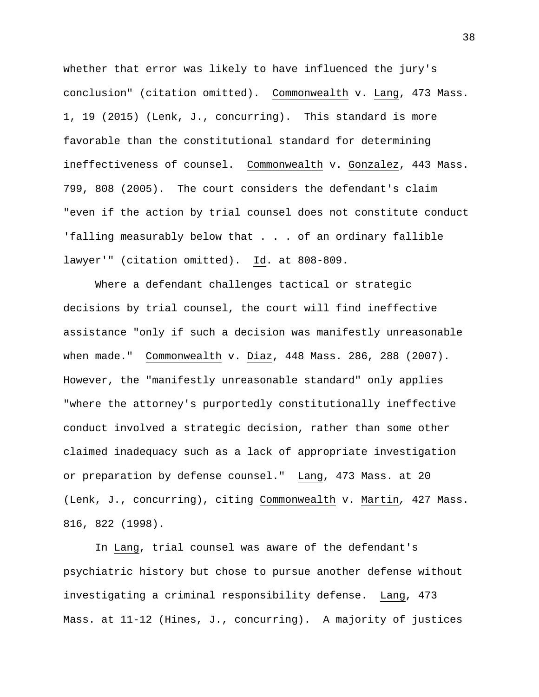whether that error was likely to have influenced the jury's conclusion" (citation omitted). Commonwealth v. Lang, 473 Mass. 1, 19 (2015) (Lenk, J., concurring). This standard is more favorable than the constitutional standard for determining ineffectiveness of counsel. Commonwealth v. Gonzalez, 443 Mass. 799, 808 (2005). The court considers the defendant's claim "even if the action by trial counsel does not constitute conduct 'falling measurably below that . . . of an ordinary fallible lawyer'" (citation omitted). Id. at 808-809.

Where a defendant challenges tactical or strategic decisions by trial counsel, the court will find ineffective assistance "only if such a decision was manifestly unreasonable when made." Commonwealth v. Diaz, 448 Mass. 286, 288 (2007). However, the "manifestly unreasonable standard" only applies "where the attorney's purportedly constitutionally ineffective conduct involved a strategic decision, rather than some other claimed inadequacy such as a lack of appropriate investigation or preparation by defense counsel." Lang, 473 Mass. at 20 (Lenk, J., concurring), citing Commonwealth v. Martin*,* 427 Mass. 816, 822 (1998).

In Lang, trial counsel was aware of the defendant's psychiatric history but chose to pursue another defense without investigating a criminal responsibility defense. Lang, 473 Mass. at 11-12 (Hines, J., concurring). A majority of justices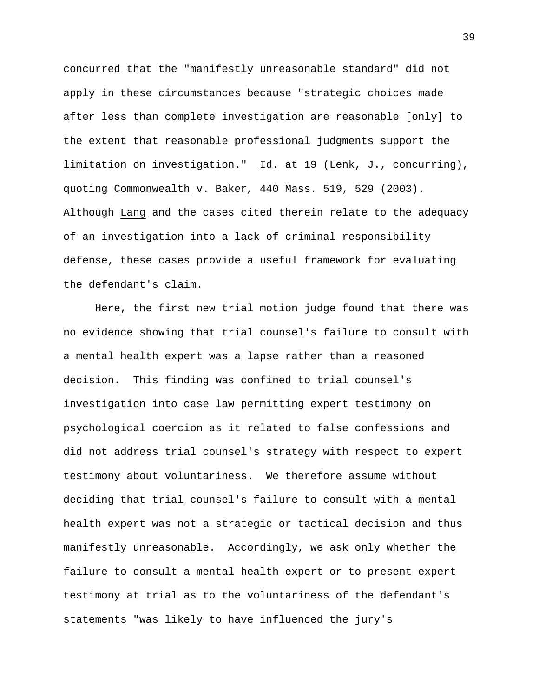concurred that the "manifestly unreasonable standard" did not apply in these circumstances because "strategic choices made after less than complete investigation are reasonable [only] to the extent that reasonable professional judgments support the limitation on investigation." Id. at 19 (Lenk, J., concurring), quoting Commonwealth v. Baker*,* 440 Mass. 519, 529 (2003). Although Lang and the cases cited therein relate to the adequacy of an investigation into a lack of criminal responsibility defense, these cases provide a useful framework for evaluating the defendant's claim.

Here, the first new trial motion judge found that there was no evidence showing that trial counsel's failure to consult with a mental health expert was a lapse rather than a reasoned decision. This finding was confined to trial counsel's investigation into case law permitting expert testimony on psychological coercion as it related to false confessions and did not address trial counsel's strategy with respect to expert testimony about voluntariness. We therefore assume without deciding that trial counsel's failure to consult with a mental health expert was not a strategic or tactical decision and thus manifestly unreasonable.Accordingly, we ask only whether the failure to consult a mental health expert or to present expert testimony at trial as to the voluntariness of the defendant's statements "was likely to have influenced the jury's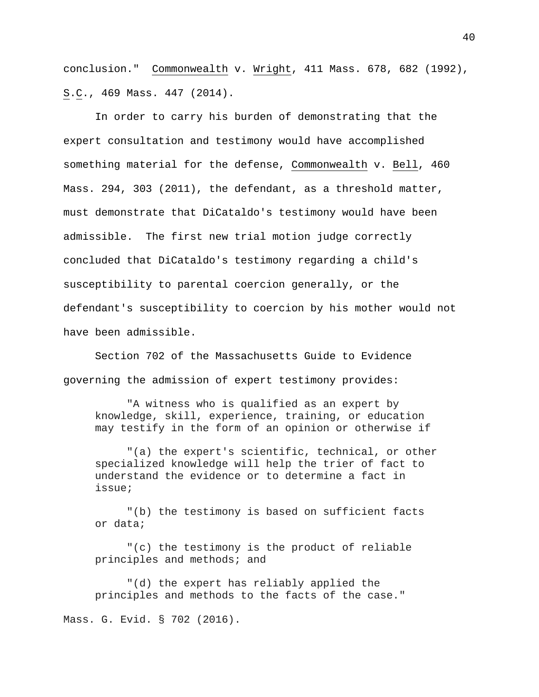conclusion." Commonwealth v. Wright, 411 Mass. 678, 682 (1992), S.C., 469 Mass. 447 (2014).

In order to carry his burden of demonstrating that the expert consultation and testimony would have accomplished something material for the defense, Commonwealth v. Bell, 460 Mass. 294, 303 (2011), the defendant, as a threshold matter, must demonstrate that DiCataldo's testimony would have been admissible. The first new trial motion judge correctly concluded that DiCataldo's testimony regarding a child's susceptibility to parental coercion generally, or the defendant's susceptibility to coercion by his mother would not have been admissible.

Section 702 of the Massachusetts Guide to Evidence governing the admission of expert testimony provides:

"A witness who is qualified as an expert by knowledge, skill, experience, training, or education may testify in the form of an opinion or otherwise if

"(a) the expert's scientific, technical, or other specialized knowledge will help the trier of fact to understand the evidence or to determine a fact in issue;

"(b) the testimony is based on sufficient facts or data;

"(c) the testimony is the product of reliable principles and methods; and

"(d) the expert has reliably applied the principles and methods to the facts of the case."

Mass. G. Evid. § 702 (2016).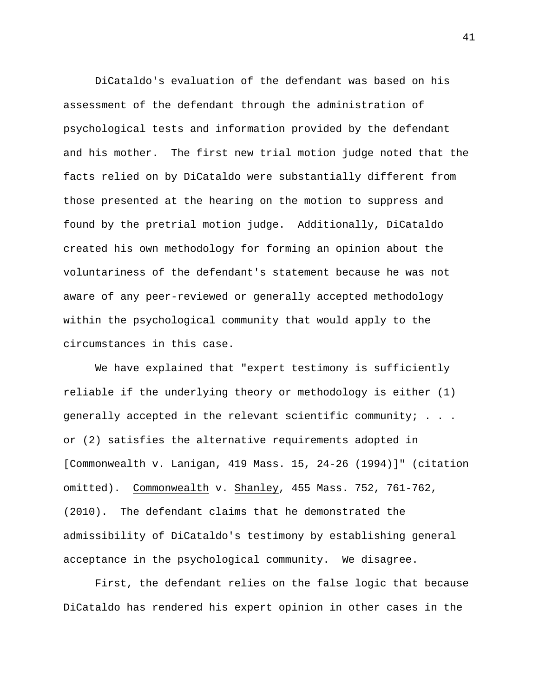DiCataldo's evaluation of the defendant was based on his assessment of the defendant through the administration of psychological tests and information provided by the defendant and his mother. The first new trial motion judge noted that the facts relied on by DiCataldo were substantially different from those presented at the hearing on the motion to suppress and found by the pretrial motion judge. Additionally, DiCataldo created his own methodology for forming an opinion about the voluntariness of the defendant's statement because he was not aware of any peer-reviewed or generally accepted methodology within the psychological community that would apply to the circumstances in this case.

We have explained that "expert testimony is sufficiently reliable if the underlying theory or methodology is either (1) generally accepted in the relevant scientific community; . . . or (2) satisfies the alternative requirements adopted in [Commonwealth v. Lanigan, 419 Mass. 15, 24-26 (1994)]" (citation omitted). Commonwealth v. Shanley, 455 Mass. 752, 761-762, (2010). The defendant claims that he demonstrated the admissibility of DiCataldo's testimony by establishing general acceptance in the psychological community. We disagree.

First, the defendant relies on the false logic that because DiCataldo has rendered his expert opinion in other cases in the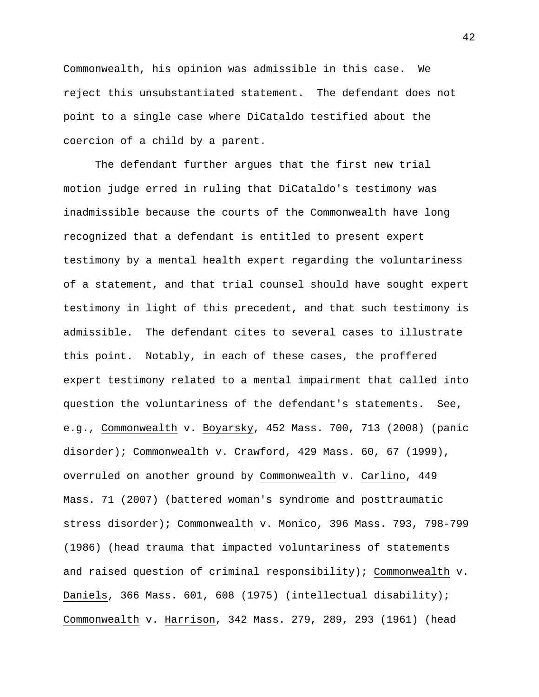Commonwealth, his opinion was admissible in this case. We reject this unsubstantiated statement. The defendant does not point to a single case where DiCataldo testified about the coercion of a child by a parent.

The defendant further argues that the first new trial motion judge erred in ruling that DiCataldo's testimony was inadmissible because the courts of the Commonwealth have long recognized that a defendant is entitled to present expert testimony by a mental health expert regarding the voluntariness of a statement, and that trial counsel should have sought expert testimony in light of this precedent, and that such testimony is admissible. The defendant cites to several cases to illustrate this point. Notably, in each of these cases, the proffered expert testimony related to a mental impairment that called into question the voluntariness of the defendant's statements. See, e.g., Commonwealth v. Boyarsky, 452 Mass. 700, 713 (2008) (panic disorder); Commonwealth v. Crawford, 429 Mass. 60, 67 (1999), overruled on another ground by Commonwealth v. Carlino, 449 Mass. 71 (2007) (battered woman's syndrome and posttraumatic stress disorder); Commonwealth v. Monico, 396 Mass. 793, 798-799 (1986) (head trauma that impacted voluntariness of statements and raised question of criminal responsibility); Commonwealth v. Daniels, 366 Mass. 601, 608 (1975) (intellectual disability); Commonwealth v. Harrison, 342 Mass. 279, 289, 293 (1961) (head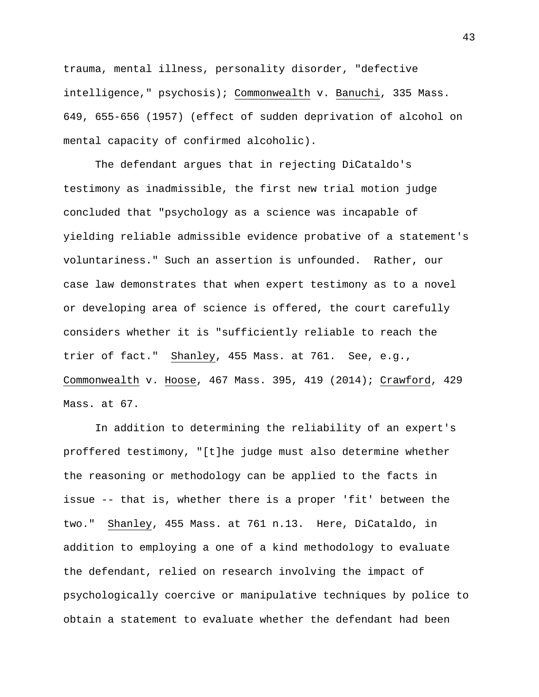trauma, mental illness, personality disorder, "defective intelligence," psychosis); Commonwealth v. Banuchi, 335 Mass. 649, 655-656 (1957) (effect of sudden deprivation of alcohol on mental capacity of confirmed alcoholic).

The defendant argues that in rejecting DiCataldo's testimony as inadmissible, the first new trial motion judge concluded that "psychology as a science was incapable of yielding reliable admissible evidence probative of a statement's voluntariness." Such an assertion is unfounded. Rather, our case law demonstrates that when expert testimony as to a novel or developing area of science is offered, the court carefully considers whether it is "sufficiently reliable to reach the trier of fact." Shanley, 455 Mass. at 761. See, e.g., Commonwealth v. Hoose, 467 Mass. 395, 419 (2014); Crawford, 429 Mass. at 67.

In addition to determining the reliability of an expert's proffered testimony, "[t]he judge must also determine whether the reasoning or methodology can be applied to the facts in issue -- that is, whether there is a proper 'fit' between the two." Shanley, 455 Mass. at 761 n.13. Here, DiCataldo, in addition to employing a one of a kind methodology to evaluate the defendant, relied on research involving the impact of psychologically coercive or manipulative techniques by police to obtain a statement to evaluate whether the defendant had been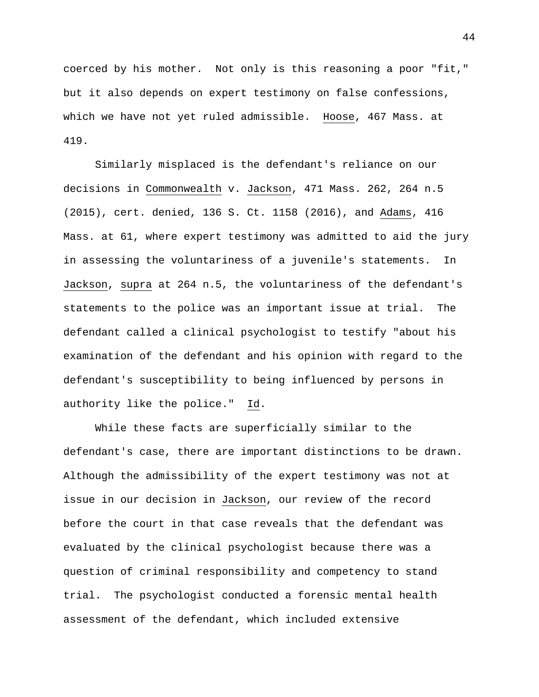coerced by his mother. Not only is this reasoning a poor "fit," but it also depends on expert testimony on false confessions, which we have not yet ruled admissible. Hoose, 467 Mass. at 419.

Similarly misplaced is the defendant's reliance on our decisions in Commonwealth v. Jackson, 471 Mass. 262, 264 n.5 (2015), cert. denied, 136 S. Ct. 1158 (2016), and Adams, 416 Mass. at 61, where expert testimony was admitted to aid the jury in assessing the voluntariness of a juvenile's statements. In Jackson, supra at 264 n.5, the voluntariness of the defendant's statements to the police was an important issue at trial. The defendant called a clinical psychologist to testify "about his examination of the defendant and his opinion with regard to the defendant's susceptibility to being influenced by persons in authority like the police." Id.

While these facts are superficially similar to the defendant's case, there are important distinctions to be drawn. Although the admissibility of the expert testimony was not at issue in our decision in Jackson, our review of the record before the court in that case reveals that the defendant was evaluated by the clinical psychologist because there was a question of criminal responsibility and competency to stand trial. The psychologist conducted a forensic mental health assessment of the defendant, which included extensive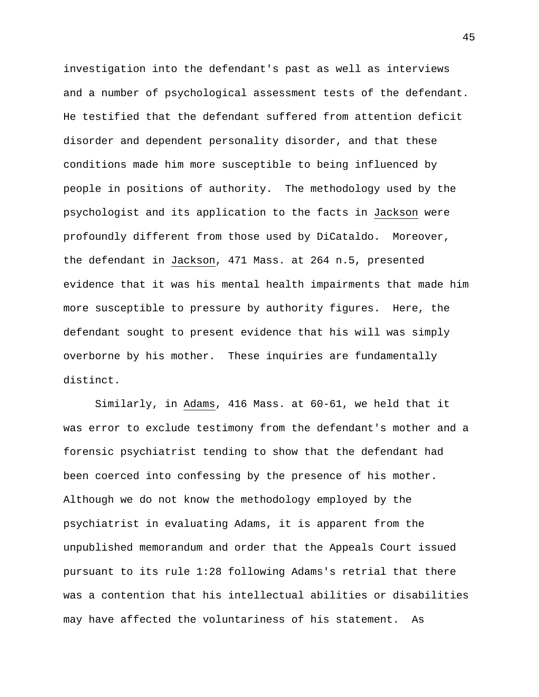investigation into the defendant's past as well as interviews and a number of psychological assessment tests of the defendant. He testified that the defendant suffered from attention deficit disorder and dependent personality disorder, and that these conditions made him more susceptible to being influenced by people in positions of authority. The methodology used by the psychologist and its application to the facts in Jackson were profoundly different from those used by DiCataldo. Moreover, the defendant in Jackson, 471 Mass. at 264 n.5, presented evidence that it was his mental health impairments that made him more susceptible to pressure by authority figures. Here, the defendant sought to present evidence that his will was simply overborne by his mother. These inquiries are fundamentally distinct.

Similarly, in Adams, 416 Mass. at 60-61, we held that it was error to exclude testimony from the defendant's mother and a forensic psychiatrist tending to show that the defendant had been coerced into confessing by the presence of his mother. Although we do not know the methodology employed by the psychiatrist in evaluating Adams, it is apparent from the unpublished memorandum and order that the Appeals Court issued pursuant to its rule 1:28 following Adams's retrial that there was a contention that his intellectual abilities or disabilities may have affected the voluntariness of his statement. As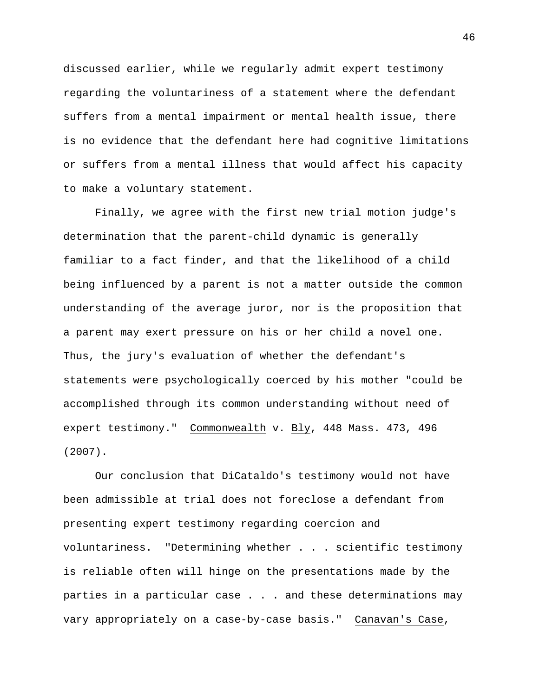discussed earlier, while we regularly admit expert testimony regarding the voluntariness of a statement where the defendant suffers from a mental impairment or mental health issue, there is no evidence that the defendant here had cognitive limitations or suffers from a mental illness that would affect his capacity to make a voluntary statement.

Finally, we agree with the first new trial motion judge's determination that the parent-child dynamic is generally familiar to a fact finder, and that the likelihood of a child being influenced by a parent is not a matter outside the common understanding of the average juror, nor is the proposition that a parent may exert pressure on his or her child a novel one. Thus, the jury's evaluation of whether the defendant's statements were psychologically coerced by his mother "could be accomplished through its common understanding without need of expert testimony." Commonwealth v. Bly, 448 Mass. 473, 496 (2007).

Our conclusion that DiCataldo's testimony would not have been admissible at trial does not foreclose a defendant from presenting expert testimony regarding coercion and voluntariness. "Determining whether . . . scientific testimony is reliable often will hinge on the presentations made by the parties in a particular case . . . and these determinations may vary appropriately on a case-by-case basis." Canavan's Case,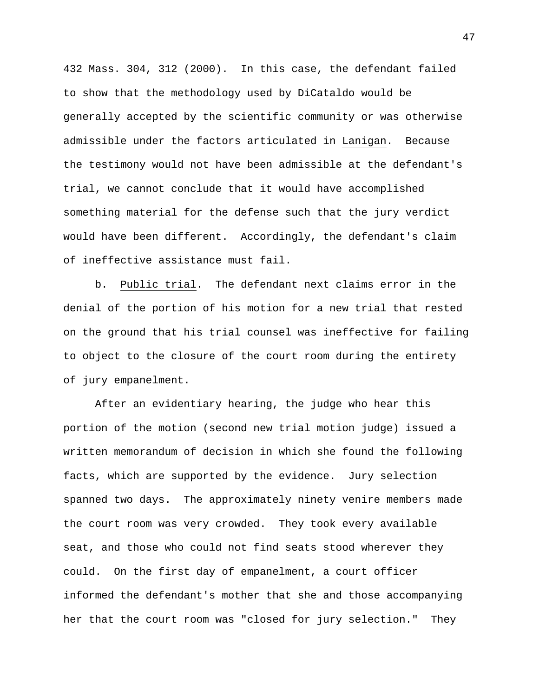432 Mass. 304, 312 (2000). In this case, the defendant failed to show that the methodology used by DiCataldo would be generally accepted by the scientific community or was otherwise admissible under the factors articulated in Lanigan. Because the testimony would not have been admissible at the defendant's trial, we cannot conclude that it would have accomplished something material for the defense such that the jury verdict would have been different. Accordingly, the defendant's claim of ineffective assistance must fail.

b. Public trial. The defendant next claims error in the denial of the portion of his motion for a new trial that rested on the ground that his trial counsel was ineffective for failing to object to the closure of the court room during the entirety of jury empanelment.

After an evidentiary hearing, the judge who hear this portion of the motion (second new trial motion judge) issued a written memorandum of decision in which she found the following facts, which are supported by the evidence. Jury selection spanned two days. The approximately ninety venire members made the court room was very crowded. They took every available seat, and those who could not find seats stood wherever they could. On the first day of empanelment, a court officer informed the defendant's mother that she and those accompanying her that the court room was "closed for jury selection."They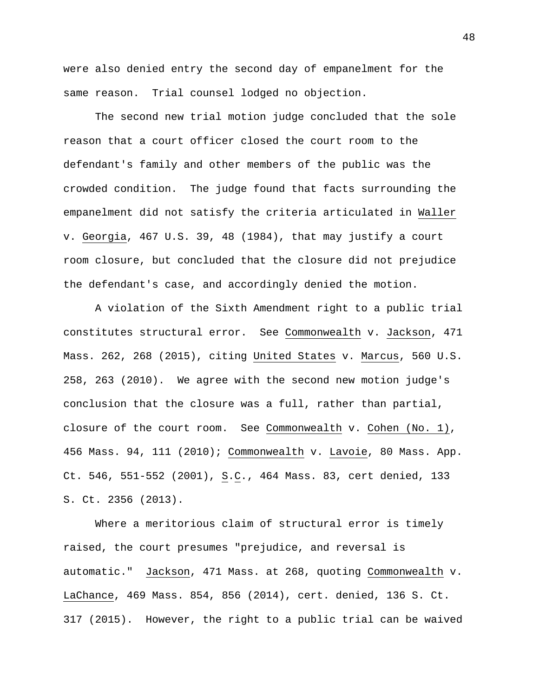were also denied entry the second day of empanelment for the same reason. Trial counsel lodged no objection.

The second new trial motion judge concluded that the sole reason that a court officer closed the court room to the defendant's family and other members of the public was the crowded condition. The judge found that facts surrounding the empanelment did not satisfy the criteria articulated in Waller v. Georgia, 467 U.S. 39, 48 (1984), that may justify a court room closure, but concluded that the closure did not prejudice the defendant's case, and accordingly denied the motion.

A violation of the Sixth Amendment right to a public trial constitutes structural error. See Commonwealth v. Jackson, 471 Mass. 262, 268 (2015), citing United States v. Marcus, 560 U.S. 258, 263 (2010). We agree with the second new motion judge's conclusion that the closure was a full, rather than partial, closure of the court room. See Commonwealth v. Cohen (No. 1), 456 Mass. 94, 111 (2010); Commonwealth v. Lavoie, 80 Mass. App. Ct. 546, 551-552 (2001),  $S.C.,$  464 Mass. 83, cert denied, 133 S. Ct. 2356 (2013).

Where a meritorious claim of structural error is timely raised, the court presumes "prejudice, and reversal is automatic." Jackson, 471 Mass. at 268, quoting Commonwealth v. LaChance, 469 Mass. 854, 856 (2014), cert. denied, 136 S. Ct. 317 (2015). However, the right to a public trial can be waived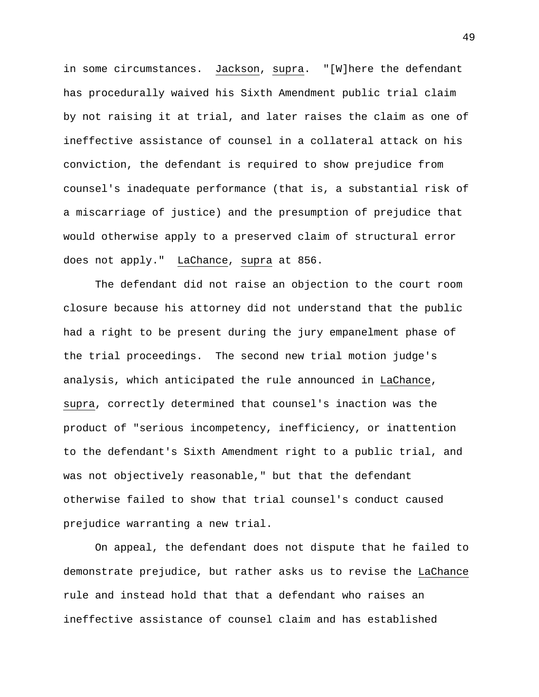in some circumstances. Jackson, supra. "[W]here the defendant has procedurally waived his Sixth Amendment public trial claim by not raising it at trial, and later raises the claim as one of ineffective assistance of counsel in a collateral attack on his conviction, the defendant is required to show prejudice from counsel's inadequate performance (that is, a substantial risk of a miscarriage of justice) and the presumption of prejudice that would otherwise apply to a preserved claim of structural error does not apply." LaChance, supra at 856.

The defendant did not raise an objection to the court room closure because his attorney did not understand that the public had a right to be present during the jury empanelment phase of the trial proceedings. The second new trial motion judge's analysis, which anticipated the rule announced in LaChance, supra, correctly determined that counsel's inaction was the product of "serious incompetency, inefficiency, or inattention to the defendant's Sixth Amendment right to a public trial, and was not objectively reasonable," but that the defendant otherwise failed to show that trial counsel's conduct caused prejudice warranting a new trial.

On appeal, the defendant does not dispute that he failed to demonstrate prejudice, but rather asks us to revise the LaChance rule and instead hold that that a defendant who raises an ineffective assistance of counsel claim and has established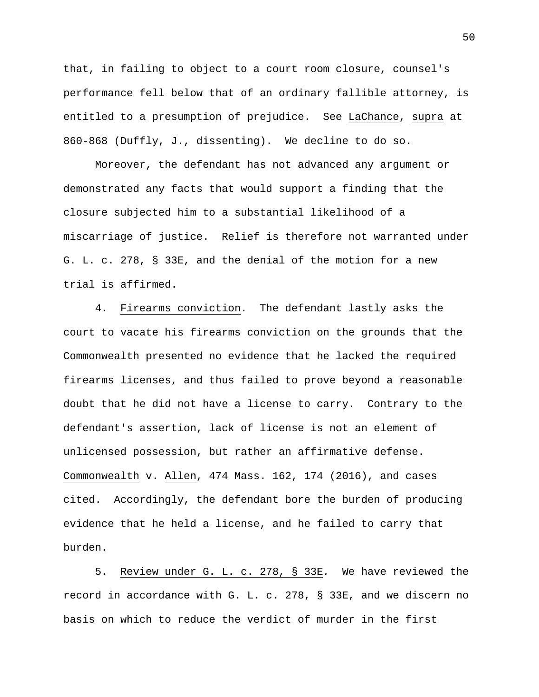that, in failing to object to a court room closure, counsel's performance fell below that of an ordinary fallible attorney, is entitled to a presumption of prejudice. See LaChance, supra at 860-868 (Duffly, J., dissenting). We decline to do so.

Moreover, the defendant has not advanced any argument or demonstrated any facts that would support a finding that the closure subjected him to a substantial likelihood of a miscarriage of justice. Relief is therefore not warranted under G. L. c. 278, § 33E, and the denial of the motion for a new trial is affirmed.

4. Firearms conviction. The defendant lastly asks the court to vacate his firearms conviction on the grounds that the Commonwealth presented no evidence that he lacked the required firearms licenses, and thus failed to prove beyond a reasonable doubt that he did not have a license to carry. Contrary to the defendant's assertion, lack of license is not an element of unlicensed possession, but rather an affirmative defense. Commonwealth v. Allen, 474 Mass. 162, 174 (2016), and cases cited. Accordingly, the defendant bore the burden of producing evidence that he held a license, and he failed to carry that burden.

5. Review under G. L. c. 278, § 33E*.* We have reviewed the record in accordance with G. L. c. 278, § 33E, and we discern no basis on which to reduce the verdict of murder in the first